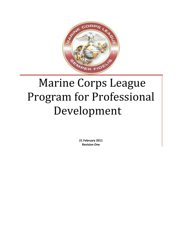

# Marine Corps League Program for Professional Development

**21 February 2011 Revision One**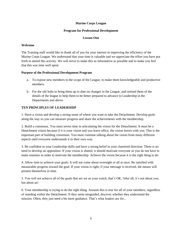#### **Marine Corps League**

#### **Program for Professional Development**

#### **Lesson One**

#### **Welcome**

The Training staff would like to thank all of you for your interest in improving the efficiency of the Marine Corps League. We understand that your time is valuable and we appreciate the effort you have put forth to attend this activity. We will strive to make this as informative as possible and to make you feel that this was time well spent.

## **Purpose of the Professional Development Program**

- a. To expose new members to the scope of the League, to make them knowledgeable and productive members.
- b. For the old Salts to bring them up to date on changes in the League, and remind them of the details of the league to help them to be better prepared to advance to Leadership in the Departments and above.

## **TEN PRINCIPLES OF LEADERSHIP**

1. Have a vision and develop a strong sense of where you want to take the Detachment. Develop goals along the way so you can measure progress and share the achievements with the membership.

2. Build a consensus. You must invest time in articulating the vision for the Detachment. It must be a Detachment vision because if it is your vision and you leave office, the vision leaves with you. This is the important part of building consensus. You must continue talking about the vision from many different aspects until everyone understands it in their own way.

3. Be confident in your Leadership skills and have a strong belief in your chartered direction. There is no need to develop an opposition. If your vision is shared, it should motivate everyone so you do not have to make enemies in order to motivate the membership. Achieve the vision because it is the right thing to do.

4. Allow time to achieve your goals. It will not come about overnight or all at once. Be satisfied with measurable progress toward the goal. If your vision is right; if your message is received, the means will present themselves in time.

5. You will not achieve all of the goals that are set on your watch, that"s OK. After all, it"s not about you, but about us!

6. Your membership is trying to do the right thing. Assume this is true for all of your members, regardless of standing within the Detachment. If they seem misguided, discover whether they understand the mission. Often, they just need a bit more guidance. That's what leaders are for...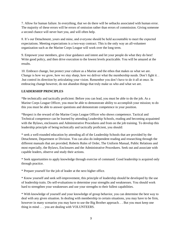7. Allow for human failure. In everything, that we do there will be setbacks associated with human error. The majority of these errors will be errors of omission rather than errors of commission. Giving someone a second chance will never hurt you, and will often help.

8. It's our Detachment, yours and mine, and everyone should be held accountable to meet the expected expectations. Meeting expectations is a two-way contract. This is the only way an all-volunteer organization such as the Marine Corps League will work over the long term.

9. Empower your members, give clear guidance and intent and let your people do what they do best! Write good policy, and then drive execution to the lowest levels practicable. You will be amazed at the results.

10. Embrace change, but protect your culture as a Marine and the ethos that makes us what we are. Change is how we grow, how we stay sharp, how we deliver what the membership needs. Don"t fight it. . .but control its direction by articulating your vision. Remember you don"t have to do it all at once. In embracing change however, do not abandon things that truly make us who and what we are.

# **LEADERSHIP PRINCIPLES**

\*Be technically and tactically proficient: Before you can lead, you must be able to do the job. As a Marine Corps League Officer, you must be able to demonstrate ability to accomplish your mission; to do this you must be able to answer questions and demonstrate competence in your position.

\*Respect is the reward of the Marine Corps League Officer who shows competence. Tactical and Technical competence can be learned by attending Leadership Schools, reading and becoming acquainted with the Bylaws, enclosures and Administrative Procedures and from on the job training. To develop this leadership principle of being technically and tactically proficient, you should:

\* seek a well-rounded education by attending all of the Leadership Schools that are provided by the Detachment, Department or Division. You can also do independent reading and researching through the different manuals that are provided; Roberts Rules of Order, The Uniform Manual, Public Relations and most especially, the Bylaws, Enclosures and the Administrative Procedures. Seek out and associate with capable leaders, observe and study their actions.

\* Seek opportunities to apply knowledge through exercise of command. Good leadership is acquired only through practice.

\* Prepare yourself for the job of leader at the next higher office.

\* Know yourself and seek self-improvement, this principle of leadership should be developed by the use of leadership traits. Do self-evaluations to determine your strengths and weaknesses. You should work hard to strengthen your weaknesses and use your strengths to their fullest capabilities.

\* With knowledge of yourself and your knowledge of group behavior, you can determine the best way to deal with any given situation. In dealing with membership in certain situations, you may have to be firm, however in many scenarios you may have to use the Big Brother approach. . . But you must keep one thing in mind . . . you are dealing with VOLUNTEERS.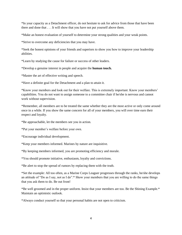\*In your capacity as a Detachment officer, do not hesitate to ask for advice from those that have been there and done that . . . It will show that you have not put yourself above them.

\*Make an honest evaluation of yourself to determine your strong qualities and your weak points.

\*Strive to overcome any deficiencies that you may have.

\*Seek the honest opinions of your friends and superiors to show you how to improve your leadership abilities.

\*Learn by studying the cause for failure or success of other leaders.

\*Develop a genuine interest in people and acquire the **human touch.**

\*Master the art of effective writing and speech.

\*Have a definite goal for the Detachment and a plan to attain it.

\*Know your members and look out for their welfare. This is extremely important. Know your members" capabilities. You do not want to assign someone to a committee chair if he/she is nervous and cannot work without supervision.

\*Remember, all members are to be treated the same whether they are the most active or only come around once in a while. If you show the same concern for all of your members, you will over time earn their respect and loyalty.

\*Be approachable, let the members see you in action.

\*Put your member"s welfare before your own.

\*Encourage individual development.

\*Keep your members informed. Marines by nature are inquisitive.

\*By keeping members informed, you are promoting efficiency and morale.

\*You should promote initiative, enthusiasm, loyalty and convictions.

\*Be alert to stop the spread of rumors by replacing them with the truth.

\*Set the example: All too often, as a Marine Corps Leaguer progresses through the ranks, he/she develops an attitude of "Do as I say, not as I do".\* Show your members that you are willing to do the same things that you ask them to do. Be out front!

\*Be well groomed and in the proper uniform. Insist that your members are too. Be the Shining Example.\* Maintain an optimistic outlook.

\*Always conduct yourself so that your personal habits are not open to criticism.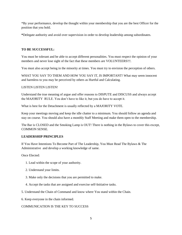\*By your performance, develop the thought within your membership that you are the best Officer for the position that you hold.

**\***Delegate authority and avoid over supervision in order to develop leadership among subordinates.

#### **TO BE SUCCESSFUL:**

You must be tolerant and be able to accept different personalities. You must respect the opinion of your members and never lose sight of the fact that these members are VOLUNTEERS!!!.

You must also accept being in the minority at times. You must try to envision the perception of others.

WHAT YOU SAY TO THEM AND HOW YOU SAY IT, IS IMPORTANT! What may seem innocent and harmless to you may be perceived by others as Hurtful and Calculating.

#### LISTEN LISTEN LISTEN!

Understand the true meaning of argue and offer reasons to DISPUTE and DISCUSS and always accept the MAJORITY RULE. You don"t have to like it, but you do have to accept it.

What is best for the Detachment is usually reflected by a MAJORITY VOTE.

Keep your meetings moving and keep the idle chatter to a minimum. You should follow an agenda and stay on course. You should also have a monthly Staff Meeting and make them open to the membership.

The Bar is CLOSED and the Smoking Lamp is OUT! There is nothing in the Bylaws to cover this except, COMMON SENSE.

## **LEADERSHIP PRINCIPLES**

If You Have Intentions To Become Part of The Leadership, You Must Read The Bylaws & The Administrative and develop a working knowledge of same.

Once Elected:

- 1. Lead within the scope of your authority.
- 2. Understand your limits.
- 3. Make only the decisions that you are permitted to make.
- 4. Accept the tasks that are assigned and exercise self-Initiative tasks.
- 5. Understand the Chain of Command and know where You stand within the Chain.
- 6. Keep everyone in the chain informed.

## COMMUNICATION IS THE KEY TO SUCCESS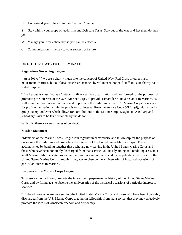U Understand your role within the Chain of Command.

S Stay within your scope of leadership and Delegate Tasks. Stay out of the way and Let them do their job.

- M Manage your time efficiently so you can be effective.
- C Communication is the key to your success or failure.

#### **DO NOT HESITATE TO DISSEMINATE**

#### **Regulations Governing League**

\* As a 501 c (4) we are a charity much like the concept of United Way, Red Cross or other major mainstream charities, but our local offices are manned by volunteers, not paid staffers. Our charity has a stated purpose.

"The League is classified as a Veterans military service organization and was formed for the purposes of promoting the interests of the U. S. Marine Corps, to provide camaraderie and assistance to Marines, as well as to their widows and orphans and to preserve the traditions of the U. S. Marine Corps. It is a not for profit organization within the provisions of Internal Revenue Service Code 50l (c) (4), with a special group exemption letter which allows for contributions to the Marine Corps League, its Auxiliary and subsidiary units to be tax deductible by the donor."

With this, there are certain rules of conduct.

#### **Mission Statement**

\*Members of the Marine Corps League join together in camaraderie and fellowship for the purpose of preserving the traditions and promoting the interests of the United States Marine Corps. This is accomplished by banding together those who are now serving in the United States Marine Corps and those who have been honorably discharged from that service; voluntarily aiding and rendering assistance to all Marines, Marine Veterans and to their widows and orphans, and by perpetuating the history of the United States Marine Corps through fitting acts to observe the anniversaries of historical occasions of particular interest to Marines.

#### **Purposes of the Marine Corps League**

To preserve the traditions, promote the interest and perpetuate the history of the United States Marine Corps and by fitting acts to observe the anniversaries of the historical occasions of particular interest to **Marines** 

\* To band those who are now serving the United States Marine Corps and those who have been honorably discharged from the U.S. Marine Corps together in fellowship from that service; that they may effectively promote the ideals of American freedom and democracy.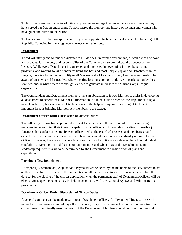To fit its members for the duties of citizenship and to encourage them to serve ably as citizens as they have served our Nation under arms. To hold sacred the memory and history of the men and women who have given their lives to the Nation.

To foster a love for the Principles which they have supported by blood and valor since the founding of the Republic. To maintain true allegiance to American institutions.

## **Detachment**

To aid voluntarily and to render assistance to all Marines, uniformed and civilian, as well as their widows and orphans. It is the duty and responsibility of the Commandant to promulgate the concept of the League. While every Detachment is concerned and interested in developing its membership and programs, and wanting to take honors for being the best and most uniquely qualified Detachment in the League, there is a larger responsibility to all Marines and all Leaguers. Every Commandant needs to be aware of areas where Marines live, where meeting locations are not conducive to participation by these Marines, and/or where there are enough Marines to generate interest in the Marine Corps League organization.

The Commandant and Detachment members have an obligation to fellow Marines to assist in developing a Detachment to benefit these Marines. Information in a later section describes the steps for starting a new Detachment, but every new Detachment needs the help and support of existing Detachments. The important issue is bringing Marines, new members to the League.

## **Detachment Officer Duties Discussion of Officer Duties**

The following information is provided to assist Detachments in the selection of officers, assisting members in determining their interest, capability in an office, and to provide an outline of possible job functions that can be carried out by each officer – what the Board of Trustees, and members should expect from the incumbents of each office. There are some duties that are specifically required for each Officer. However, there are also some functions that may be optional or delegated based on individual capabilities. Keeping in mind the section on Functions and Objectives of the Detachment, some leadership requirements are to be determined by the Detachment in consideration of plans and capabilities.

## **Forming a New Detachment**

A temporary Commandant, Adjutant and Paymaster are selected by the members of the Detachment to act as their respective officers, with the cooperation of all the members to secure new members before the date set for the closing of the charter application when the permanent staff of Detachment Officers will be elected. Subsequent elections may be held in accordance with the National Bylaws and Administrative procedures.

## **Detachment Officer Duties Discussion of Officer Duties**

A general comment can be made regarding all Detachment offices. Ability and willingness to serve is a major factor for consideration of any office. Second, every office is important and will require time and commitment to minimally meet the needs of the Detachment. Members should consider the time and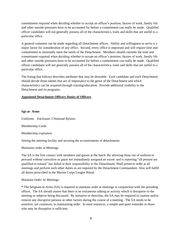commitment required when deciding whether to accept an officer"s position; factors of work, family life and other outside pressures have to be accounted for before a commitment can really be made. Qualified officer candidates will not generally possess all of the characteristics, traits and skills that are useful to a particular office.

A general comment can be made regarding all Detachment offices. Ability and willingness to serve is a major factor for consideration of any office. Second, every office is important and will require time and commitment to minimally meet the needs of the Detachment. Members should consider the time and commitment required when deciding whether to accept an officer"s position; factors of work, family life and other outside pressures have to be accounted for before a commitment can really be made. Qualified officer candidates will not generally possess all of the characteristics, traits and skills that are useful to a particular office.

The listing that follows describes attributes that may be desirable. Each candidate and each Detachment should decide those talents that are of importance to the genre of the Detachment and which characteristics can be acquired through training/education. Provide additional visibility to the Detachment and its programs.

## **Appointed Detachment Officers Duties of Officers**

#### **Sgt-at- Arms**

Uniforms Enclosure 3 National Bylaws

Membership Cards

Membership expiration

Setting the meeting facility and securing the accoutrements of detachments.

Maintains order at Meetings

The SA is the first contact with members and guests at the hatch. By allowing those out of uniform to proceed without correction or guest not immediately assigned an escort and is reporting "all present are qualified to remain" has failed in their responsibility to the Detachment. Shall preserve order at all meetings and perform such other duties as are required by the Detachment Commandant. Also will fulfill all duties prescribed in the Marine Corps League Ritual.

Maintain Order At Meetings:

**\*** The Sergeant-at-Arms (SA) is required to maintain order at meetings in conjunction with the presiding officer. The SA should assure that there is no extraneous talking or activity which is disruptive to the meeting or subjects being discussed. By initiative or direction, the SA may be required to caution and/or remove any disruptive persons or other factors during the course of a meeting. The SA needs to be assertive, yet courteous, in maintaining order. In most instances, a simple and quiet reminder to those who may be disruptive is sufficient.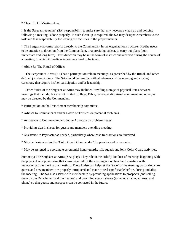#### **\*** Clean Up Of Meeting Area

It is the Sergeant-at-Arms" (SA) responsibility to make sure that any necessary clean up and policing following a meeting is done properly. If such clean up is required, the SA may designate members to the task and take responsibility for leaving the facilities in the proper manner.

\* The Sergeant-at-Arms reports directly to the Commandant in the organization structure. He/she needs to be attentive to direction from the Commandant, or a presiding officer, to carry out plans (both immediate and long term). This direction may be in the form of instructions received during the course of a meeting, in which immediate action may need to be taken.

\* Abide By The Ritual of Office:

 The Sergeant-at-Arms (SA) has a participation role in meetings, as prescribed by the Ritual, and other defined job descriptions. The SA should be familiar with all elements of the opening and closing ceremony that require his/her participation and/or leadership.

 Other duties of the Sergeant-at-Arms may include: Providing storage of physical items between meetings that include, but are not limited to, flags, Bible, lectern, audio/visual equipment and other, as may be directed by the Commandant.

\* Participation on the Detachment membership committee.

\* Advisor to Commandant and/or Board of Trustees on potential problems.

\* Assistance to Commandant and Judge Advocate on problem issues.

\* Providing sign in sheets for guests and members attending meeting.

\* Assistance to Paymaster as needed, particularly where cash transactions are involved.

\* May be designated as the "Color Guard Commander" for parades and ceremonies.

\* May be assigned to coordinate ceremonial honor guards, rifle squads and joint Color Guard activities.

Summary: The Sergeant-at-Arms (SA) plays a key role in the orderly conduct of meetings beginning with the physical set-up, assuring that items required for the meeting are on hand and assisting with maintaining order during the meeting. The SA also can help set the "tone" of the meeting by making sure guests and new members are properly introduced and made to feel comfortable before, during and after the meeting. The SA also assists with membership by providing applications to prospects (and selling them on the Detachment and the League) and providing sign-in sheets (to include name, address, and phone) so that guests and prospects can be contacted in the future.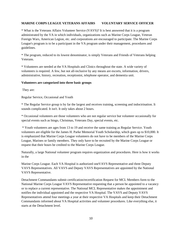#### **MARINE CORPS LEAGUE VETERANS AFFAIRS VOLUNTARY SERVICE OFFICER**

\* What is the Veterans Affairs Volunteer Service (VAVS)? It is best answered that it is a program administrated by the VA in which individuals, organizations such as Marine Corps League, Veteran Foreign Wars, American Legion, etc. and corporations are encouraged to participate. The Marine Corps League's program is to be a participant in the VA program under their management, procedures and guidelines.

\* The program, reduced to its lowest denominator, is simply Veterans and Friends of Veterans helping Veterans.

\* Volunteers are needed at the VA Hospitals and Clinics throughout the state. A wide variety of volunteers is required. A few, but not all-inclusive by any means are escorts, information, drivers, administrative, history, recreation, receptionist, telephone operator, and dementia unit.

#### **Volunteers are categorized into three basic groups**

They are:

Regular Service, Occasional and Youth

\* The Regular Service group is by far the largest and receives training, screening and indoctrination. It sounds complicated. It isn't. It only takes about 2 hours.

\* Occasional volunteers are those volunteers who are not regular service but volunteer occasionally for special events such as bingo, Christmas, Veterans Day, special events, etc.

\* Youth volunteers are ages from 13 to 19 and receive the same training as Regular Service. Youth volunteers are eligible for the James H. Parke Memorial Youth Scholarship, which goes up to \$10,000. It is emphasized that Marine Corps League volunteers do not have to be members of the Marine Corps League, Marines or family members. They only have to be recruited by the Marine Corps League or request that their hours be credited to the Marine Corps League.

Naturally, a large National volunteer program requires organization and procedures. Here is how it works in the

Marine Corps League. Each VA Hospital is authorized oneVAVS Representative and three Deputy VAVS Representatives. All VAVS and Deputy VAVS Representatives are appointed by the National VAVS Representative.

Detachment Commandants submit certification/recertification Request for MCL Members form to the National Marine Corps League VAVS Representative requesting that a person be appointed to a vacancy or to replace a current representative. The National MCL Representative makes the appointment and notifies the individual appointed and the respective VA Hospital. The VAVS and Deputy VAVS Representatives attend four meetings a year at their respective VA Hospitals and keep their Detachment Commandants informed about VA Hospital activities and volunteer procedures. Like everything else, it starts at the Detachment level.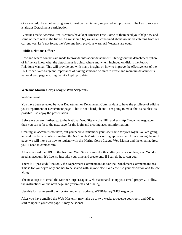Once started, like all other programs it must be maintained, supported and promoted. The key to success is always Detachment participation.

Veterans made America Free. Veterans have kept America Free. Some of them need your help now and some of them will in the future. As we should be, we are all concerned about wounded Veterans from our current war. Let's not forget the Veterans from previous wars. All Veterans are equal!

#### **Public Relations Officer**

How and where contacts are made to provide info about detachment. Throughout the detachment sphere of influence know what the detachment is doing, where and when. Included on disk is the Public Relations Manual. This will provide you with many insights on how to improve the effectiveness of the PR Officer. Web Sergeant Importance of having someone on staff to create and maintain detachments national web page insuring that it's kept up to date.

## **Welcome Marine Corps League Web Sergeants**

Web Sergeant

You have been selected by your Department or Detachment Commandant to have the privilege of editing your Department or Detachment page. This is not a hard job and I am going to make this as painless as possible…so enjoy the presentation.

Before we go any further, go to the National Web Site via the URL address http://www.mcleague.com then you can refer to the next page for the login and creating account information.

Creating an account is not hard, but you need to remember your Username for your login, you are going to need this later on when emailing the Nat"l Web Master for setting up the email. After viewing the next page, we will move on how to register with the Marine Corps League Web Master and the email address you"ll need to contact him.

After you used the URL to the National Web Site it looks like this, after you click on Register. You do need an account; it's free, so just take your time and create one. If I can do it, so can you!

There is a "passcode" that only the Department Commandant and/or the Detachment Commandant has. This is for your eyes only and not to be shared with anyone else. So please use your discretion and follow along.

The next step is to email the Marine Corps League Web Master and set up your email properly. Follow the instructions on the next page and you"re off and running.

Use this format to email the Locator and email address: WEBMaster@MCLeague.com

After you have emailed the Web Master, it may take up to two weeks to receive your reply and OK to start to update your web page, it may be sooner.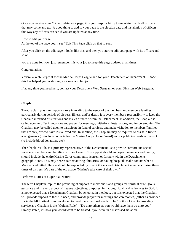Once you receive your OK to update your page, it is your responsibility to maintain it with all officers that may come and go. A good thing to add to your page is the election date and installation of officers, this way any officers can see if you are updated at any time.

How to edit your page:

At the top of the page you"ll see "Edit This Page click on that to start.

After you click on the edit page it looks like this, and then you start to edit your page with its officers and so on.

you are done for now, just remember it is your job to keep this page updated at all times.

#### Congratulations

You"re a Web Sergeant for the Marine Corps League and for your Detachment or Department. I hope this has helped you in starting your new and fun job.

If at any time you need help, contact your Department Web Sergeant or your Division Web Sergeant.

#### **Chaplain**

The Chaplain plays an important role in tending to the needs of the members and members families, particularly during periods of distress, illness, and/or death. It is every member's responsibility to keep the Chaplain informed of situations and issues of need within the Detachment. In addition, the Chaplain is called upon to offer invocations and prayer for meetings, initiations, installations, and for ceremonies. The Chaplain may be called upon to participate in funeral services, and make visitation to members/families that are sick, or who have lost a loved one. In addition, the Chaplain may be required to assist in funeral arrangements (to include contacts for the Marine Corps Honor Guard) and/or publicize needs of the sick (to include blood donations, etc.)

The Chaplain's job, as a primary representative of the Detachment, is to provide comfort and special service to members and families in time of need. This support should go beyond members and family, it should include the entire Marine Corps community (current or former) within the Detachments' geographic area. This may necessitate reviewing obituaries, or having hospitals make contact when a Marine is admitted. He/she should be supported by other Officers and Detachment members during these times of distress; it's part of the old adage "Marine's take care of their own."

Performs Duties of a Spiritual Nature:

The term Chaplain implies the providing of support to individuals and groups for spiritual or religious guidance and in every aspect of League objectives, purposes, initiations, ritual, and references to God. It is not expected that a Detachment Chaplain be schooled in theology, but it is expected that the Chaplain will provide support to those in need, and provide prayer for meetings and ceremonies, (either as provided for in the MCL ritual or as developed to meet the situational needs). The "Bottom Line" to providing service as a Chaplain is the "Golden Rule" - "Do unto others as you would have them do unto you." Simply stated, it's how you would want to be treated if you were in a distressed situation.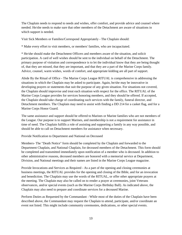The Chaplain needs to respond to needs and wishes, offer comfort, and provide advice and counsel where needed. He/she needs to make sure that other members of the Detachment are aware of situations in which support is needed.

Visit Sick Members or Families/Correspond Appropriately - The Chaplain should:

\* Make every effort to visit members, or members' families, who are incapacitated.

\* He/she should make the Detachment Officers and members aware of the situation, and solicit participation. A card of well wishes should be sent to the individual on behalf of the Detachment. The primary purpose of visitation and correspondence is to let the individual know that they are being thought of, that they are missed, that they are important, and that they are a part of the Marine Corps family. Advice, counsel, warm wishes, words of comfort, and appropriate kidding are all part of support.

Abide By the Ritual of Office - The Marine Corps League RITUAL is comprehensive in addressing the situations in which the Chaplain may be asked to participate. Again, he/she may be innovative in developing prayers or statements that suit the purpose of any given situation. For situations not covered, the Chaplain should improvise and treat each situation with respect for the office. The RITUAL of the Marine Corps League provides for services honoring members, and they should be offered. If accepted, the Chaplain should take charge of coordinating such services with the family, funeral director, and Detachment members. The Chaplain may need to assist with finding a DD 214 for a casket flag, and for a Marine Corps Honor Guard.

The same assistance and support should be offered to Marines or Marine families who are not members of the League. Our purpose is to support Marines, and membership is not a requirement for assistance in time of need. The Chaplain fulfills a role of assisting and supporting a family in any way possible, and should be able to call on Detachment members for assistance when necessary.

Provide Notification to Department and National on Deceased

Members- The "Death Notice" form should be completed by the Chaplain and forwarded to the Department Chaplain, and National Chaplain, for deceased members of the Detachment. This form should be completed and transmitted immediately upon notification of a member who is deceased. In addition to other administrative reasons, deceased members are honored with a memorial service at Department, Division, and National meetings and their names are listed in the Marine Corps League magazine.

Provide Invocations and Services as Required - As a part of the opening and closing ceremonies at business meetings, the RITUAL provides for the opening and closing of the Bible, and for an invocation and benediction. The Chaplain may use the words of the RITUAL, or offer other appropriate prayers at the meeting. The Chaplain may also be called on to render a prayer at ceremonies, joint Veterans observances, and/or special events (such as the Marine Corps Birthday Ball). As indicated above, the Chaplain may also need to prepare and coordinate services for a deceased Marine.

Perform Duties as Requested by the Commandant - While most of the duties of the Chaplain have been described above, the Commandant may request the Chaplain to attend, participate, and/or coordinate an event not listed. This might include community ceremonies, dedications, or other special events.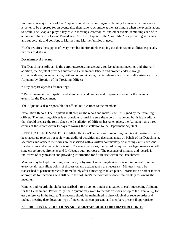Summary: A major focus of the Chaplain should be on contingency planning for events that may arise. It is better to be prepared for an eventuality then have to scramble at the last minute when the event is about to occur. The Chaplain plays a key role in meetings, ceremonies, and other events, reminding each of us about our reliance on Devine Providence. And the Chaplain is the "Point Man" for providing assistance and support, aid and comfort, to Marines and Marine families in need.

He/she requires the support of every member in effectively carrying out their responsibilities, especially in times of distress.

## **Detachment Adjutant**

The Detachment Adjutant is the corporate/recording secretary for Detachment meetings and affairs. In addition, the Adjutant provides support to Detachment Officers and project leaders through correspondence, documentation, written communication, media releases, and other staff assistance. The Adjutant, by direction of the Presiding Officer:

\* May prepare agendas for meetings.

\* Record member participation and attendance, and prepare and prepare and monitor the calendar of events for the Detachment.

The Adjutant is also responsible for official notifications to the members.

Installation Report: The Adjutant shall prepare the report and makes sure it is signed by the installing officer. The installing officer is responsible for making sure the report is made out, but it is the adjutant that should prepare the form. Once the Installation of Officers has taken place, the Adjutant mails three copies of the report within 15 days following the installation to the Department Adjutant.

KEEP ACCURATE MINUTES OF MEETINGS -- The purpose of recording minutes at meetings is to keep accurate records, for review and audit, of activities and decisions made on behalf of the Detachment. Members and officers memories are best served with a written commentary on meeting events, reasons for decisions and actual actions taken. For some decisions, the record is required for legal reasons -- both state corporate requirements and for League audit purposes. The presence of minutes and records is indicative of organization and providing information for future use within the Detachment.

Minutes may be kept in writing, shorthand, or by use of recording device. It is not important to write every detail, but salient points of discussion and actions taken are necessary. Minutes should be transcribed to permanent records immediately after a meeting as taken place. Information or other factors appropriate for recording will still be in the Adjutant's memory when done immediately following the meeting.

Minutes and records should be transcribed into a book or binder that passes to each succeeding Adjutant for the Detachment. Periodically, the Adjutant may want to include an index of topics (i.e. annually), for easy reference in the future. The records should be maintained in chronological or reverse order and include meeting date, location, type of meeting, officers present, and members present if appropriate.

## **ASSURE THAT RESOLUTIONS ARE MAINTAINED AS CORPORATE RECORDS:**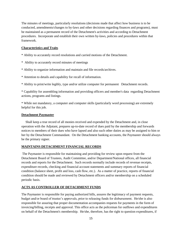The minutes of meetings, particularly resolutions (decisions made that affect how business is to be conducted, amendments/changes to by-laws and other decisions regarding finances and programs), must be maintained as a permanent record of the Detachment's activities and according to Detachment procedures. Incorporate and establish their own written by-laws, policies and procedures within that framework.

#### **Characteristics and Traits**

\* Ability to accurately record resolutions and carried motions of the Detachment.

- \* Ability to accurately record minutes of meetings
- \* Ability to organize information and maintain and file records/archives.
- \* Attention to details and capability for recall of information.

\* Ability to print/write legibly, type and/or utilize computer for permanent Detachment records.

\* Capability for assembling information and providing officers and member's data regarding Detachment actions, programs and listings.

\* While not mandatory, a computer and computer skills (particularly word processing) are extremely helpful for this job.

#### **Detachment Paymaster**

 Shall keep a true record of all monies received and expended by the Detachment and, in close operation with the Adjutant, prepares up-to-date record of dues paid by the membership and forwards notices to members of their dues who have lapsed and also such other duties as may be assigned to him or her by the Detachment Commandant. On the Detachment banking accounts, the Paymaster should always be the primary signer.

## **MAINTAINS DETACHMENT FINANCIAL RECORDS**

The Paymaster is responsible for maintaining and providing for review upon request from the Detachment Board of Trustees, Audit Committee, and/or Department/National offices, all financial records and reports for the Detachment. Such records normally include records of revenue receipts, expenditure records, checking and financial account statements and summary reports of financial condition (balance sheet, profit and loss, cash flow, etc.). As a matter of practice, reports of financial condition should be made and reviewed by Detachment officers and/or membership on a scheduled periodic basis.

## **ACTS AS CONTROLLER OF DETACHMENT FUNDS**

The Paymaster is responsible for paying authorized bills, assures the legitimacy of payment requests, budget and/or board of trustee"s approvals, prior to releasing funds for disbursement. He/she is also responsible for assuring that proper documentation accompanies requests for payments in the form of invoicing/billing, receipts and approval. This office acts as the policeman for outflows and expenditures on behalf of the Detachment's membership. He/she, therefore, has the right to question expenditures, if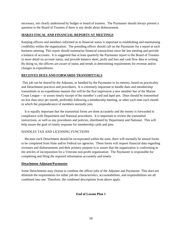necessary, not clearly understood by budget or board of trustees. The Paymaster should always present a question to the Board of Trustees if there is any doubt about disbursement.

## **MAKES FISCAL AND FINANCIAL REPORTS AT MEETINGS**

Keeping officers and members informed as to financial status is important to establishing and maintaining credibility within the organization. The presiding officer should call on the Paymaster for a report at each business meeting. This report should summarize financial transactions since the last meeting and provide a balance of accounts. It is suggested that at least quarterly the Paymaster report to the Board of Trustees in more detail on account status, and provide balance sheet, profit and loss and cash flow data in writing. By doing so, the officers are aware of status and trends in determining requirements for revenue and/or changes in expenditures.

## **RECEIVES DUES AND FORWARDS TRANSMITTALS**

This job can be shared by the Adjutant, or handled by the Paymaster in its entirety, based on practicality and Detachment practices and procedures. It is extremely important to handle dues and membership transmittals in an expeditious manner this will be the first impression a new member has of the Marine Corps League -- to assure timely receipt of the member"s card and lapel pin. Dues should be transmitted no less than once per month, preferably following a membership meeting, or other such time each month in which the preponderance of members normally join.

 It is equally important that the transmittal forms are done accurately and the money is forwarded in compliance with Department and National procedures. It is important to review the transmittal instructions, as well as any procedures and policies, distributed by Department and National. This will help assure the goal of timely response for membership cards and pins.

## HANDLES TAX AND LICENSING FUNCTIONS

 Because each Detachment should be incorporated within the state, there will normally be annual forms to be completed from State and/or Federal tax agencies. These forms will request financial data regarding revenues and disbursements and their primary purpose is to assure that the organization is conforming to the articles of incorporation for a Veterans non-profit organization. The Paymaster is responsible for completing and filing the required information accurately and timely.

#### **Detachment Adjutant/Paymaster**

Some Detachments may choose to combine the officer jobs of the Adjutant and Paymaster. This does not diminish the requirements for either job the characteristics, accountabilities, and responsibilities are all combined into one. Therefore, the combined descriptions from above apply.

## **End of Lesson Plan 1**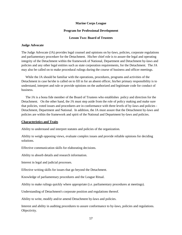#### **Marine Corps League**

#### **Program for Professional Development**

#### **Lesson Two: Board of Trustees**

#### **Judge Advocate**

The Judge Advocate (JA) provides legal counsel and opinions on by-laws, policies, corporate regulations and parliamentary procedure for the Detachment. His/her chief role is to assure the legal and operating integrity of the Detachment within the framework of National, Department and Detachment by-laws and policies and any other legal entities such as state corporation requirements, for the Detachment. The JA may also be called on to make procedural rulings during the course of business and officer meetings.

 While the JA should be familiar with the operations, procedures, programs and activities of the Detachment in case he/she is called on to fill in for an absent officer, his/her primary responsibility is to understand, interpret and rule or provide opinions on the authorized and legitimate code for conduct of business.

 The JA is a bona fide member of the Board of Trustees who establishes policy and direction for the Detachment. On the other hand, the JA must step aside from the role of policy making and make sure that policies, voted issues and procedures are in conformance with three levels of by-laws and policies - Detachment, Department and National. In addition, the JA must assure that the Detachment by-laws and policies are within the framework and spirit of the National and Department by-laws and policies.

#### **Characteristics and Traits**

Ability to understand and interpret statutes and policies of the organization.

Ability to weigh opposing views, evaluate complex issues and provide reliable opinions for deciding solutions.

Effective communication skills for elaborating decisions.

Ability to absorb details and research information.

Interest in legal and judicial processes.

Effective writing skills for issues that go beyond the Detachment.

Knowledge of parliamentary procedures and the League Ritual.

Ability to make rulings quickly where appropriate (i.e. parliamentary procedures at meetings).

Understanding of Detachment's corporate position and regulations thereof.

Ability to write, modify and/or amend Detachment by-laws and policies.

Interest and ability in auditing procedures to assure conformance to by-laws, policies and regulations. Objectivity.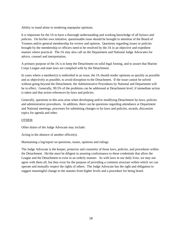Ability to stand alone in rendering unpopular opinions.

It is important for the JA to have a thorough understanding and working knowledge of all bylaws and policies. On his/her own initiative, questionable issue should be brought to attention of the Board of Trustees and/or general membership for review and opinion. Questions regarding issues or policies brought by the membership or officers need to be resolved by the JA in an objective and expedient manner where practical. The JA may also call on the Department and National Judge Advocates for advice, counsel and interpretation.

A primary purpose of the JA is to keep the Detachment on solid legal footing, and to assure that Marine Corps League and state laws are complied with by the Detachment.

In cases where a member(s) is embroiled in an issue, the JA should render opinions as quickly as possible and as objectively as possible, to avoid disruption to the Detachment. If the issue cannot be solved without going beyond the Detachment, the Administrative Procedures by National and Department will be in effect. Generally, 99.5% of the problems can be addressed at Detachment level, if immediate action is taken and that action references by-laws and policies.

Generally, questions in this area arise when developing and/or modifying Detachment by-laws, policies and administrative procedures. In addition, there can be questions regarding attendance at Department and National meetings, processes for submitting changes to by-laws and policies, awards, discussion topics for agenda and other.

## OTHER:

Other duties of the Judge Advocate may include:

Acting in the absence of another officer(s).

Maintaining a log/report on questions, issues, opinions and rulings.

The Judge Advocate is the keeper, protector and counselor of those laws, policies, and procedures within the Detachment. He/she must be diligent in assuring conformance to these credentials that allow the League and the Detachment to exist in an orderly manner. As with laws in our daily lives, we may not agree with them all, but they exist for the purpose of providing a common structure within which we can operate and mutually respect the rights of others. The Judge Advocate has the right and obligation to suggest meaningful change to the statutes from higher levels and a procedure for being heard.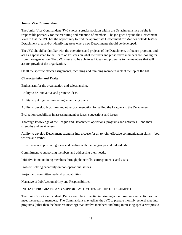#### **Junior Vice Commandant**

The Junior Vice Commandant (JVC) holds a crucial position within the Detachment since he/she is responsible primarily for the recruiting and retention of members. The job goes beyond the Detachment level in that the JVC has the opportunity to find the appropriate Detachment for Marines outside his/her Detachment area and/or identifying areas where new Detachments should be developed.

The JVC should be familiar with the operations and projects of the Detachment, influence programs and act as a spokesman to the Board of Trustees on what members and prospective members are looking for from the organization. The JVC must also be able to sell ideas and programs to the members that will assure growth of the organization.

Of all the specific officer assignments, recruiting and retaining members rank at the top of the list.

#### **Characteristics and Traits**

Enthusiasm for the organization and salesmanship.

Ability to be innovative and promote ideas.

Ability to put together marketing/advertising plans.

Ability to develop brochures and other documentation for selling the League and the Detachment.

Evaluation capabilities in assessing member ideas, suggestions and issues.

Thorough knowledge of the League and Detachment operations, programs and activities -- and their strengths and weaknesses.

Ability to develop Detachment strengths into a cause for all to join; effective communication skills -- both written and verbal.

Effectiveness in promoting ideas and dealing with media, groups and individuals.

Commitment to supporting members and addressing their needs.

Initiative in maintaining members through phone calls, correspondence and visits.

Problem solving capability on non-operational issues.

Project and committee leadership capabilities.

Narrative of Job Accountability and Responsibilities

#### INITIATE PROGRAMS AND SUPPORT ACTIVITIES OF THE DETACHMENT

The Junior Vice Commandant (JVC) should be influential in bringing about programs and activities that meet the needs of members. The Commandant may utilize the JVC to prepare monthly general meeting programs (other than the business meeting) that involve members and bring interesting speakers/topics to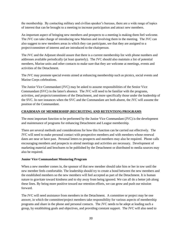the membership. By contacting military and civilian speaker"s bureaus, there are a wide range of topics of interest that can be brought to a meeting to increase participation and attract new members.

An important aspect of bringing new members and prospects to a meeting is making them feel welcome. The JVC can take charge of introducing new Marines and involving them in the meeting. The JVC can also suggest to new members areas in which they can participate, see that they are assigned to a project/committee of interest and are introduced to the chairperson.

The JVC and the Adjutant should assure that there is a current membership list with phone numbers and addresses available periodically (at least quarterly). The JVC should also maintain a list of potential members, Marine units and other contacts to make sure that they are welcome at meetings, events and activities of the Detachment.

The JVC may promote special events aimed at enhancing membership such as picnics, social events and Marine Corps celebrations.

The Junior Vice Commandant (JVC) may be asked to assume responsibilities of the Senior Vice Commandant (SVC) in the latter's absence. The JVC will need to be familiar with the programs, activities, and projects/committees of the Detachment, and more specifically those under the leadership of the SVC. In rare instances when the SVC and the Commandant are both absent, the JVC will assume the position of the Commandant.

## **CHAIRMAN OF MEMBERSHIP (RECRUITING AND RETENTION) PROGRAMS**

The most important function to be performed by the Junior Vice Commandant (JVC) is the development and maintenance of programs for enhancing Detachment and League membership.

There are several methods and considerations for how this function can be carried out effectively. The JVC will need to make personal contact with prospective members and with members whose renewal dates are near or have past. Personal letters to prospects and members may also be required. Phone calls encouraging members and prospects to attend meetings and activities are necessary. Development of marketing material and brochures to be published by the Detachment or distributed to media sources may also be required.

## **Junior Vice Commandant Mentoring Program**

When a new member comes in, the sponsor of that new member should take him or her in tow until the new member feels comfortable. The leadership should try to create a bond between the new members and the established members so the new members will feel accepted as part of the Detachment. It is human nature to gravitate toward kindness and to shy away from being ignored. We can all do a better job along these lines. By being more positive toward our retention efforts, we can grow and push our mission forward.

The JVC will need assistance from members in the Detachment. A committee or project may be one answer, in which the committee/project members take responsibility for various aspects of membership programs and share in the phone and personal contacts. The JVC needs to be adept at leading such a group, by establishing goals and objectives, and providing constant support. The JVC will also need to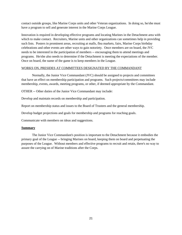contact outside groups, like Marine Corps units and other Veteran organizations. In doing so, he/she must have a program to sell and generate interest in the Marine Corps League.

Innovation is required in developing effective programs and locating Marines in the Detachment area with which to make contact. Recruiters, Marine units and other organizations can sometimes help in providing such lists. Posters in prominent areas, recruiting at malls, flea markets, fairs, Marine Corps birthday celebrations and other events are other ways to gain notoriety. Once members are on board, the JVC needs to be interested in the participation of members -- encouraging them to attend meetings and programs. He/she also needs to determine if the Detachment is meeting the expectations of the member. Once on board, the name of the game is to keep members in the League.

#### WORKS ON, PRESIDES AT COMMITTEES DESIGNATED BY THE COMMANDANT

Normally, the Junior Vice Commandant (JVC) should be assigned to projects and committees that have an effect on membership participation and programs. Such projects/committees may include membership, events, awards, meeting programs, or other, if deemed appropriate by the Commandant.

OTHER -- Other duties of the Junior Vice Commandant may include:

Develop and maintain records on membership and participation.

Report on membership status and issues to the Board of Trustees and the general membership.

Develop budget projections and goals for membership and programs for reaching goals.

Communicate with members on ideas and suggestions.

#### **Summary**

The Junior Vice Commandant's position is important to the Detachment because it embodies the primary goal of the League -- bringing Marines on board, keeping them on board and perpetuating the purposes of the League. Without members and effective programs to recruit and retain, there's no way to assure the carrying on of Marine traditions after the Corps.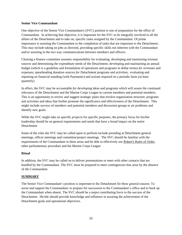#### **Senior Vice Commandant**

One objective of the Senior Vice Commandant's (SVC) position is one of preparation for the office of Commandant. In achieving that objective, it is important for the SVC to be integrally involved in all the affairs of the Detachment and to take on, specific tasks assigned by the Commandant. Of prime importance is assisting the Commandant in the completion of tasks that are important to the Detachment. This may include taking on jobs as directed, providing specific skills not inherent with the Commandant and/or assisting in the two way communications between members and officers.

Chairing a finance committee assumes responsibility for evaluating, developing and monitoring revenue sources and determining the expenditure needs of the Detachment; developing and maintaining an annual budget (which is a guideline and formulation of operations and programs in dollar terms) *for* revenues and expenses; spearheading donation sources *for* Detachment programs and activities; evaluating and reporting on financial standing (with Paymaster) and actions required on a periodic basis (at least quarterly).

In effect, the SVC may be accountable *for* developing ideas and programs which will assure the continued relevance of the Detachment and the Marine Corps League to current members and potential members. This is an opportunity to review and suggest strategic plans that involve organization structure, programs and activities and ideas that further promote the significance and effectiveness of the Detachment. This might include surveys of members and potential members and discussion groups to air problems and identify new goals.

While the SVC might take on specific *projects* for specific purposes, the primary focus for his/her leadership should be on general requirements and needs that have a broad impact on the entire Detachment

Some of the roles the SVC may be called upon to perform include presiding at Detachment general meetings, officer meetings and committee/project meetings. The SVC should be familiar with the requirements of the Commandant in these areas and be able to effectively use Robert's Rules of Order, other parliamentary procedure and the Marine Corps League

#### **Ritual**

In addition, the SVC may be called on to deliver presentations or meet with other contacts that are handled by the Commandant. The SVC must be prepared to meet contingencies that arise by the absence of the Commandant.

#### **SUMMARY**

The Senior Vice Commandant"s position is important to the Detachment for three general reasons: To assist and support the Commandant; to prepare for succession to the Commandant"s office and to back up the Commandant when absent. The SVC should be a major contributing force to the success of the Detachment. He/she should provide knowledge and influence in assuring the achievement of the Detachment goals and operational objectives.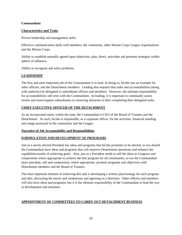#### **Commandant**

## **Characteristics and Traits**

Proven leadership and management *skills.* 

Effective communication skills *with* members, the *community,* other Marine Corps League *organizations*  and the Marine Corps.

Ability to establish mutually agreed upon objectives; plan, direct, articulate and promote strategies within sphere of influence.

Ability to recognize and solve problems.

## **LEADERSHIP**

The first and most important job of the Commandant is to lead. In doing so, he/she sets an example for other officers, and the Detachment members. Leading also requires that tasks and accountabilities (along with authority) be delegated to subordinate officers and members. However, the ultimate responsibility for accountabilities still rests with the Commandant. In leading, it is important to continually assess results and assist/support subordinates in removing obstacles to their completing their delegated tasks*.*

## **CHIEF EXECUTIVE OFFICER OF THE DETACHMENT**

As an incorporated entity within the state, the Commandant is CEO of the Board of Trustees and the Detachment. As such, he/she is responsible, as a corporate officer, for the activities, financial standing and image portrayed in the community and the League.

## **Narrative of Job Accountability and Responsibilities**

## **FORMULATION AND DEVELOPMENT OF PROGRAMS**

Just as a newly elected President has ideas and programs that he/she promotes to be elected, so too should the Commandant have ideas and programs that will improve Detachment operations and enhance the capabilities/results of achieving goals. Also, just as a President needs to sell the ideas to Congress and compromise where appropriate to achieve the best program for all constituents, so too the Commandant must articulate, sell and compromise, where appropriate, promote programs and objectives with Detachment members and the Board of Trustees.

The most important element of achieving this task is developing a written plan/strategy for each program and idea, discussing the merits and weaknesses and agreeing on a direction. Other officers and members will also have ideas and programs, but it is the ultimate responsibility of the Commandant to lead the way in development and initiation.

# **APPOINTMENT OF COMMITTEES TO CARRY OUT DETACHMENT BUSINESS**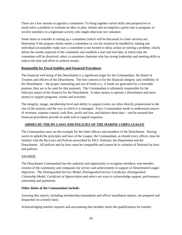There are a few reasons to appoint a committee: To bring together varied skills and perspectives to study/solve a problem or evaluate an idea; to plan, initiate and accomplish a given task or program; to involve members in a legitimate activity who might otherwise not volunteer.

Some items to consider in setting up a committee (which will be discussed in a later section) are: Determine if the purpose clearly needs a committee or can the situation be handled by making one individual accountable; make sure a committee is not formed to delay action on solving a problem; clearly define the results expected of the committee and establish a start and end date, at which time the committee will be dissolved; select a committee chairman who has strong leadership and meeting skills to reduce the time and effort to achieve results.

## **Responsible for Fiscal Stability and Financial Procedures**

The financial well being of the Detachment is a significant target for the Commandant, the Board of Trustees and officers of the Detachment. The first concern is for the financial integrity and credibility of the Detachment -- the proper channeling and use of funds (i.e., if funds are generated for a charitable purpose, they are to be used for that purpose). The Commandant is ultimately responsible for the fiduciary nature of the finances for the Detachment. It takes money to operate a Detachment and more money to support programs, events and activities.

The integrity, image, membership level and ability to support events are often directly proportional to the size of the treasury and the way in which it is managed. Every Commandant needs to understand sources of revenues, expense control, cash flow, profit and loss, and balance sheet data -- and be assured that financial procedures provide an audit trail to support inquiries.

# **ABIDES BY THE BY-LAWS AND POLICIES OF THE MARINE CORPS LEAGUE**

The Commandant must set the example for the other officers and members of the Detachment. Having sworn to uphold the principles and laws of the League, the Commandant, as should every officer, must be familiar with the By-Laws and Policies prescribed by MCL National, the Department and the Detachment. All policies and by-laws must be compatible and cannot be in violation of National by-laws and policies.

# AWARDS

The Detachment Commandant has the authority and opportunity to recognize members, non-member citizens of the community and companies for service and achievements in support of Detachment/League objectives. The *Distinguished Service Medal, Distinguished Service Certificate, Distinguished Citizenship Medal, Certificate of Appreciation and others* are ways to acknowledge support, performance, citizenship and patriotism.

## **Other duties of the Commandant include:**

Assuring that reports, including membership transmittals and officer installation reports, are prepared and dispatched on a timely basis.

Acknowledging transfer requests and ascertaining that member meets the qualifications for transfer.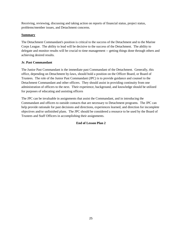Receiving, reviewing, discussing and taking action on reports of financial status, project status, problems/member issues, and Detachment concerns.

## **Summary**

The Detachment Commandant's position is critical to the success of the Detachment and to the Marine Corps League. The ability to lead will be decisive to the success of the Detachment. The ability to delegate and monitor results will be crucial to time management -- getting things done through others and achieving desired results.

## **Jr. Past Commandant**

The Junior Past Commandant is the immediate past Commandant of the Detachment. Generally, this office, depending on Detachment by-laws, should hold a position on the Officer Board, or Board of Trustees. The role of the Junior Past Commandant (JPC) is to provide guidance and counsel to the Detachment Commandant and other officers. They should assist in providing continuity from one administration of officers to the next. Their experience, background, and knowledge should be utilized for purposes of educating and assisting officers

The JPC can be invaluable in assignments that assist the Commandant, and in introducing the Commandant and officers to outside contacts that are necessary to Detachment programs. The JPC can help provide rationale for past decisions and directions, experiences learned, and direction for incomplete objectives and/or unfinished plans. The JPC should be considered a resource to be used by the Board of Trustees and Staff Officers in accomplishing their assignments.

# **End of Lesson Plan 2**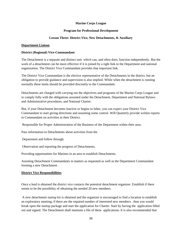#### **Marine Corps League**

#### **Program for Professional Development**

#### **Lesson Three: District Vice, New Detachments, & Auxiliary**

#### **Department Liaison**

#### **District (Regional) Vice-Commandant**

The Detachment is a separate and distinct unit which can, and often does, function independently. But the work of a detachment can be more effective if it is joined by a tight link to the Department and national organization. The District Vice Commandant provides that important link.

The District Vice Commandant is the elective representative of the Detachments in the district, but an obligation to provide guidance and supervision is also implied. While when the detachment is running normally these items should be provided discreetly to the Commandant.

Detachments are charged with carrying out the objectives and programs of the Marine Corps League and to comply fully with the obligations assumed under the Detachment, Department and National Bylaws and Administrative procedures, and National Charter.

But, if your Detachment becomes inactive or begins to falter, you can expect your District Vice Commandant to start giving directions and assuming some control. Will Quarterly provide written reports to Commandant on activities in their District.

Responsible for Proper Administration of the Business of the Department within their area.

Pass information to Detachments about activities from the

Department and follow through.

Observation and reporting the progress of Detachments.

Providing opportunities for Marines in an area to establish Detachments.

Assisting Detachment Commandants in matters as requested as well as the Department Commandant forming a new Detachment .

#### **District Vice Responsibilities**

Once a lead is obtained the district vice contacts the potential detachment organizer. Establish if there seems to be the possibility of obtaining the needed 20 new members.

A new detachment startup kit is obtained and the organizer is encouraged to find a location to establish an exploratory meeting, if there are the required number of interested new members . then you would break open the startup package and start the application for Charter. Start by having the application filled out and signed. The Detachment shall maintain a file of these applications. It is also recommended that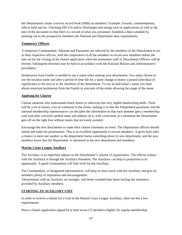the Detachments create a service record book (SRB) on members. Example: Awards, commendations, offices held and etc. Checking DD-214 and/or Discharges and noting such on applications as well as the date of the document so that there is a record of what was presented. Establish a dues schedule by pointing out to the prospective members the National and Department dues requirements.

## **Temporary Officers**

A temporary Commandant, Adjutant and Paymaster are selected by the members of the Detachment to act as their respective officers, with the cooperation of all the members to secure new members before the date set for the closing of the charter application when the permanent staff of Detachment Officers will be elected. Subsequent elections may be held in accordance with the National Bylaws and Administrative procedures.

Permissions from Family is needed to use a name when naming your detachment. You many choose to use the location name and after a period of time file for a name change to honor a passed individual of significance to the area or to the members of the detachment. To use an individual's name you must obtain notarized permission from the Family or executor of the estate allowing the usage of the name.

## **Applying for Charter**

Choose someone who understands block letters or otherwise has very legible handwriting skills. There will be a lot of names, a lot of confusion to the forms, making it so that the Department paymaster and the national membership representative can decipher the information so that each member gets a membership card with their correctly spelled name and address on it, with corrections at a minimum the Detachment gets off on the right foot without issues that are easily avoided.

Encourage the new detachment to make their charter ceremony an event. The Department officers should attend and make the presentation. This is an excellent opportunity to recruit members. It gives both sides a chance to meet one another so the department learns something about its new detachment, and the new members know that the Department is interested in the new detachment and members.

## **Marine Corps League Auxiliary**

The Auxiliary is an important adjunct to the Detachment's scheme of organization. The official contact with the Auxiliary is through the Auxiliary President. The Auxiliary can help in proportion to its opportunity. A good Commandant will find work for the Auxiliary.

The Commandant, or designated representative, will keep in close touch with the Auxiliary and give its members plenty of inspiration and encouragement.

Detachments with an Auxiliary are stronger, and better rounded than those lacking the assistance provided by Auxiliary members.

# **STARTING AN AUXILIARY UNIT**

In order to receive a charter for a Unit in the Marine Corps League Auxiliary, there are but a few requirements:

Have a charter application signed by at least seven (7) members eligible for regular membership.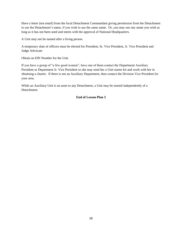Have a letter (not email) from the local Detachment Commandant giving permission from the Detachment to use the Detachment's name, if you wish to use the same name. Or, you may use any name you wish as long as it has not been used and meets with the approval of National Headquarters.

A Unit may not be named after a living person.

A temporary slate of officers must be elected for President, Sr. Vice President, Jr. Vice President and Judge Advocate

Obtain an EIN Number for the Unit.

If you have a group of "a few good women", have one of them contact the Department Auxiliary President or Department Jr. Vice President so she may send her a Unit starter kit and work with her in obtaining a charter. If there is not an Auxiliary Department, then contact the Division Vice President for your area.

While an Auxiliary Unit is an asset to any Detachment, a Unit may be started independently of a Detachment.

# **End of Lesson Plan 3**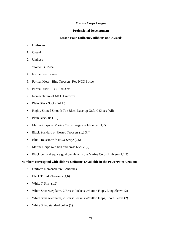#### **Marine Corps League**

#### **Professional Development**

#### **Lesson Four Uniforms, Ribbons and Awards**

#### • **Uniforms**

- 1. Casual
- 2. Undress
- 3. Women"s Casual
- 4. Formal Red Blazer
- 5. Formal Mess Blue Trousers, Red NCO Stripe
- 6. Formal Mess Tux Trousers
- Nomenclature of MCL Uniforms
- Plain Black Socks (ALL)
- Highly Shined Smooth Toe Black Lace-up Oxford Shoes (All)
- Plain Black tie (1,2)
- Marine Corps or Marine Corps League gold tie bar  $(1,2)$
- Black Standard or Pleated Trousers (1,2,3,4)
- Blue Trousers with **NCO** Stripe (2,5)
- Marine Corps web belt and brass buckle (2)
- Black belt and square gold buckle with the Marine Corps Emblem (1,2,3)

#### **Numbers correspond with slide #2 Uniforms (Available in the PowerPoint Version)**

- Uniform Nomenclature Continues
- Black Tuxedo Trousers (4,6)
- White T-Shirt  $(1,2)$
- White Shirt w/epilates, 2 Breast Pockets w/button Flaps, Long Sleeve (2)
- White Shirt w/epilates, 2 Breast Pockets w/button Flaps, Short Sleeve (2)
- White Shirt, standard collar (1)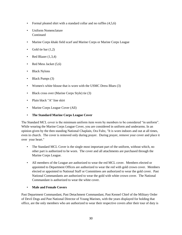- Formal pleated shirt with a standard collar and no ruffles (4,5,6)
- Uniform Nomenclature **Continued**
- Marine Corps khaki field scarf and Marine Corps or Marine Corps League
- Gold tie bar  $(1.2)$
- Red Blazer  $(1,3,4)$
- Red Mess Jacket (5,6)
- Black Nylons
- Black Pumps (3)
- Women's white blouse that is worn with the USMC Dress Blues (3)
- Black cross over (Marine Corps Style) tie (3)
- Plain black "A" line skirt
- Marine Corps League Cover (All)
- **The Standard Marine Corps League Cover**

The Standard MCL cover is the minimum uniform item worn by members to be considered "in uniform". While wearing the Marine Corps League Cover, you are considered in uniform and underarms. In an opinion given by the then standing National Chaplain, Ora Fultz, "It is worn indoors and out at all times, even in church. The cover is removed only during prayer. During prayer, remove your cover and place it over your heart."

- The Standard MCL Cover is the single most important part of the uniform, without which, no other part is authorized to be worn. The cover and all attachments are purchased through the Marine Corps League.
- All members of the League are authorized to wear the red MCL cover. Members elected or appointed to Department Offices are authorized to wear the red with gold crown cover. Members elected or appointed to National Staff or Committees are authorized to wear the gold cover. Past National Commandants are authorized to wear the gold with white crown cover. The National Commandant is authorized to wear the white cover.
- **Male and Female Covers**

Past Department Commandant, Past Detachment Commandant, Past Kennel Chief of the Military Order of Devil Dogs and Past National Director of Young Marines, with the years displayed for holding that office, are the only members who are authorized to wear their respective covers after their tour of duty is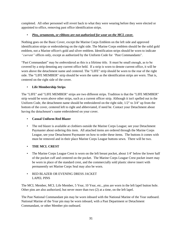completed. All other personnel will revert back to what they were wearing before they were elected or appointed to office, removing past office identification strips.

# • *Pins, ornaments, or ribbons are not authorized for wear on the MCL cover.*

Nothing goes on the Basic Cover, except the Marine Corps Emblem on the left side and approved identification strips or embroidering on the right side. The Marine Corps emblem should be the solid gold emblem, not a Marine officer's gold and silver emblem. Identification strips should be worn to indicate *"current"* offices only, except as authorized by the Uniform Code for *"*Past Commandants"*.* 

"Past Commandant" may be embroidered as this is a lifetime title. It must be small enough, as to be covered by a strip denoting any current office held. If a strip is worn to denote current office, it will be worn above the detachment name and centered. The "LIFE" strip should be worn to the rear of the right side. The "LIFE MEMBER" strip should be worn the same as the identification strips are worn. That is, centered on the right side of the cover.

# • **Life Membership Strips**

The "LIFE" and "LIFE MEMBER" strips are two different strips. Tradition is that the "LIFE MEMBER" strip would be worn above other strips, such as a current officer strip. Although it isn't spelled out in the Uniform Code*,* the detachment name should be embroidered on the right side, 1/2" to 3/4" up from the bottom of the cover, centered left to right and abbreviated, if need be. Contact your Detachment about having the detachment's name embroidered on your cover.

# • **Casual Uniform Red Blazer**

• The red blazer is available at clothiers outside the Marine Corps League; see your Detachment Paymaster about ordering this item. All attached items are ordered through the Marine Corps League, see your Detachment Paymaster on how to order these items. The buttons it comes with must be removed and in their place Marine Corps League buttons sewn. There will be two.

# • **THE MCL CREST**

• The Marine Corps League Crest is worn on the left breast pocket, about 1/4" below the lower half of the pocket cuff and centered on the pocket. The Marine Corps League Crest pocket insert may be worn in place of the standard crest, and the commercially sold plastic sleeve insert with permanently set Marine Corps Seal may also be worn.

# • RED BLAZER OR EVENING DRESS JACKET LAPEL PINS

The MCL Member, MCL Life Member, 5 Year, 10 Year, etc., pins are worn in the left lapel button hole. Other pins are also authorized, but never more than two (2) at a time, on the left lapel.

The Past National Commandant pin may be worn inboard with the National Marine of the Year outboard. National Marine of the Year pin may be worn inboard, with a Past Department or Detachment Commandant, or other Member pin outboard.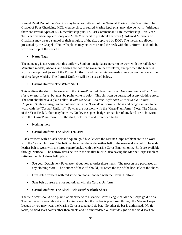Kennel Devil Dog of the Year Pin may be worn outboard of the National Marine of the Year Pin. The Chapel of Four Chaplains, MCL Membership, or retired Marine lapel pins, may also be worn. (Although there are several types of MCL membership pins, i.e. Past Commandant, Life Membership, Five Year, Ten Year membership, etc., only one MCL Membership pin should be worn.) Ordained Ministers or Chaplains may wear a symbol of their religion, of the size approved by DOD. The medal and ribbon presented by the Chapel of Four Chaplains may be worn around the neck with this uniform. It should be worn over top of the neck tie.

## • **Name Tags**

The name tag is not worn with this uniform. Sunburst insignia are never to be worn with the red blazer. Miniature medals, ribbons, and badges are not to be worn on the red blazer, except when the blazer is worn as an optional jacket of the Formal Uniform, and then miniature medals may be worn or a maximum of three large Medals. The Formal Uniform will be discussed below.

## • **Casual Uniform The White Shirt**

This outlines the shirt to be worn with the "Casual", or red blazer uniform. *The shirt can be either long sleeve or short sleeve,* but must be plain white in color. This shirt can be purchased at any clothing store. The shirt should have a plain collar. *It will not be the "aviator" style shirt worn with the Undress Uniform.* Sunburst insignias are not worn with the "Casual" uniform. Ribbons and badges are not to be worn with the "Casual" Uniform\*. Patches are not worn with the "Casual" uniform.\* Note: The Marine of the Year Neck Ribbon may be worn. No devices, pins, badges or patches of any kind are to be worn with the "Casual" uniform. Just the shirt, field scarf, and prescribed tie bar.

• Nothing more!

# • **Casual Uniform The Black Trousers**

Black trousers with a black belt and square gold buckle with the Marine Corps Emblem are to be worn with the Casual Uniform. The belt can be either the wide leather belt or the narrow dress belt. The wide leather belt is worn with the large square buckle with the Marine Corps Emblem on it. Both are available through National. The narrow dress belt with the smaller buckle, also having the Marine Corps Emblem, satisfies the black dress belt option.

- See your Detachment Paymaster about how to order these items. The trousers are purchased at any clothing store. The bottom of the cuff, should just reach the top of the heel sole of the shoes.
- Dress blue trousers with red stripe are not authorized with the Casual Uniform.
- Sans belt trousers are not authorized with the Casual Uniform.
- **Casual Uniform The Black Field Scarf & Black Shoes**

The field scarf should be a plain flat black tie with a Marine Corps League or Marine Corps gold tie bar. The field scarf is available at any clothing store, but the tie bar is purchased through the Marine Corps League or you may wear the Marine Corps issued gold tie bar. No other tie bar is authorized. No tie tacks, no field scarf colors other than black, and no embroidered or other designs on the field scarf are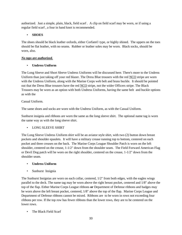authorized. Just a simple, plain, black, field scarf . A clip on field scarf may be worn, or if using a regular field scarf , a four in hand knot is recommended.

# • **SHOES**

The shoes should be black leather oxfords, either Corfam© type, or highly shined. The uppers on the toes should be flat leather, with no seams. Rubber or leather soles may be worn. Black socks, should be worn, also.

# *No taps are authorized.*

# • **Undress Uniform**

The Long Sleeve and Short Sleeve Undress Uniforms will be discussed here. There's more to the Undress Uniform than just taking off your red blazer. The Dress Blue trousers with the red NCO stripe are worn with the Undress Uniform, along with the Marine Corps web belt and brass buckle. It should be pointed out that the Dress Blue trousers have the red NCO stripe, not the wider Officers stripe. The Black Trousers may be worn as an option with both Undress Uniforms, having the same belt and buckle options as with the

# Casual Uniform.

The same shoes and socks are worn with the Undress Uniform, as with the Casual Uniform.

Sunburst insignia and ribbons are worn the same as the long sleeve shirt. The optional name tag is worn the same way as with the long sleeve shirt.

# • LONG SLEEVE SHIRT

The Long Sleeve Undress Uniform shirt will be an aviator style shirt, with two (2) button down breast pockets and shoulder epaulets. It will have a military crease running top to bottom, centered on each pocket and three creases on the back. The Marine Corps League Shoulder Patch is worn on the left shoulder, centered on the crease, 1-1/2" down from the shoulder seam. The Field Forward American Flag or Devil Dog patch will be worn on the right shoulder, centered on the crease, 1-1/2" down from the shoulder seam.

# • **Undress Uniform**

• Sunburst Insignia

The Sunburst Insignias are worn on each collar, centered, 1/2" from both edges, with the eagles wings parallel to the deck. The name tag may be worn above the right breast pocket, centered and 1/8" above the top of the flap. Either Marine Corps League ribbons **or** Department of Defense ribbons and badges may be worn above the left breast pocket, centered, 1/8" above the top of the flap. Marine Corps League and Department of Defense ribbons cannot be mixed. Ribbons are to be worn in rows not exceeding four ribbons per row. If the top row has fewer ribbons than the lower rows, they are to be centered on the lower rows.

• The Black Field Scarf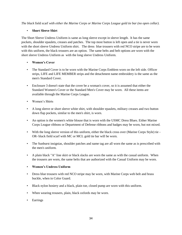*The black* field scarf *with either the Marine Corps or Marine Corps League gold tie bar (no open collar).*

## • **Short Sleeve Shirt**

The Short Sleeve Undress Uniform is same as long sleeve except in sleeve length. It has the same pockets, shoulder epaulets, creases and patches. The top most button is left open and a tie is never worn with the short sleeve Undress Uniform shirt. The dress blue trousers with red NCO stripe are to be worn with this uniform, the black trousers are an option. The same belts and belt options are worn with the short sleeve Undress Uniform as with the long sleeve Undress Uniform.

## • **Women's Cover**

- The Standard Cover is to be worn with the Marine Corps Emblem worn on the left side. Officer strips, LIFE and LIFE MEMBER strips and the detachment name embroidery is the same as the men's Standard Cover.
- Enclosure 3 doesn't state that the cover be a woman's cover, so it is assumed that either the Standard Women's Cover or the Standard Men's Cover may be worn. All these items are available through the Marine Corps League.
- Women"s Shirts
- A long sleeve or short sleeve white shirt, with shoulder epaulets, military creases and two button down flap pockets, similar to the men's shirt, is worn.
- An option is the women's white blouse that is worn with the USMC Dress Blues. Either Marine Corps League ribbons or Department of Defense ribbons and badges may be worn, but not mixed.
- With the long sleeve version of this uniform, either the black cross over (Marine Corps Style) tie OR- black field scarf with MC or MCL gold tie bar will be worn.
- The Sunburst insignias, shoulder patches and name tag are all worn the same as is prescribed with the men's uniform.
- A plain black "A" line skirt or black slacks are worn the same as with the casual uniform. When the trousers are worn, the same belts that are authorized with the Casual Uniform may be worn.

## • **Women's Undress Uniform**

- Dress blue trousers with red NCO stripe may be worn, with Marine Corps web belt and brass buckle, when in Color Guard.
- Black nylon hosiery and a black, plain toe, closed pump are worn with this uniform.
- When wearing trousers, plain, black oxfords may be worn.
- Earrings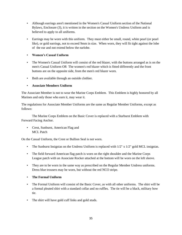- Although earrings aren't mentioned in the Women's Casual Uniform section of the National Bylaws, Enclosure (3), it is written in the section on the Women's Undress Uniform and is believed to apply to all uniforms.
- Earrings may be worn with this uniform. They must either be small, round, white pearl (or pearl like), or gold earrings, not to exceed 9mm in size. When worn, they will fit tight against the lobe of the ear and not extend below the earlobe.

## • **Women's Casual Uniform**

- The Women's Casual Uniform will consist of the red blazer, with the buttons arranged as is on the men's Casual Uniform OR The women's red blazer which is fitted differently and the front buttons are on the opposite side, from the men's red blazer worn.
- Both are available through an outside clothier.

## • **Associate Members Uniform**

The Associate Member is not to wear the Marine Corps Emblem. This Emblem is highly honored by all Marines and only those who earn it, may wear it.

The regulations for Associate Member Uniforms are the same as Regular Member Uniforms, except as follows:

The Marine Corps Emblem on the Basic Cover is replaced with a Starburst Emblem with Forward Facing Anchor.

• Crest, Sunburst, American Flag and MCL Patch

On the Casual Uniform, the Crest or Bullion Seal is not worn.

- The Sunburst Insignias on the Undress Uniform is replaced with  $1/2$ " x  $1/2$ " gold MCL insignias.
- The field forward American flag patch is worn on the right shoulder and the Marine Corps League patch with an Associate Rocker attached at the bottom will be worn on the left sleeve.
- They are to be worn in the same way as prescribed on the Regular Member Undress uniforms. Dress blue trousers may be worn, but without the red NCO stripe.
- **The Formal Uniform**
- The Formal Uniform will consist of the Basic Cover, as with all other uniforms. The shirt will be a formal pleated shirt with a standard collar and no ruffles. The tie will be a black, military bow tie.
- The shirt will have gold cuff links and gold studs.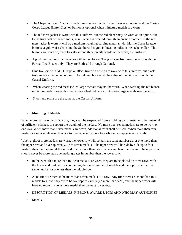- The Chapel of Four Chaplains medal may be worn with this uniform as an option and the Marine Corps League Blazer Crest or Bullion is optional when miniature medals are worn.
- The red mess jacket is worn with this uniform, but the red blazer may be worn as an option, due to the high cost of the red mess jacket, which is ordered through an outside clothier. If the red mess jacket is worn, it will be a medium weight gabardine material with Marine Corps League buttons, a gold waist chain and the Sunburst Insignia in locating holes in the jacket collar. The buttons are sewn on, three to a sleeve and three on either side of the waist, as illustrated.
- A gold cummerbund can be worn with either Jacket. The gold vest front may be worn with the Formal Red Blazer only. They are Both sold through National.
- Blue trousers with NCO Stripe or Black tuxedo trousers are worn with this uniform, but black trousers are an accepted option. The belt and buckle can be either of the belts worn with the Casual Uniform.
- When wearing the red mess jacket, large medals may not be worn. When wearing the red blazer, miniature medals are authorized as described below, or up to three large medals may be worn.
- Shoes and socks are the same as the Casual Uniform.

## • **Mounting of Medals**

When more than one medal is worn, they shall be suspended from a holding bar of metal or other material of sufficient stiffness to support the weight of the medals. No more than seven medals are to be worn on one row. When more than seven medals are worn, additional rows shall be used. When more than four medals are on a single row, they are to overlap evenly, on a four ribbon bar, up to seven medals.

When eight or more medals are worn, the lower row will contain the same number as, or one more than, the upper row and overlap evenly, up to seven medals. The upper row will be side by side up to four medals, then overlapping if the second row is more than Four medals and less than seven. The upper row, should never be more than one medal greater in number than the lower row.

- In the event that more than fourteen medals are worn, they are to be placed on three rows, with the lower and middle rows containing the same number of medals and the top row, either the same number or one less than the middle row.
- At no time are there to be more than seven medals to a row. Any time there are more than four medals to a row, they are to be overlapped evenly (no more than 50%) and the upper rows will have no more than one more medal than the next lower row.
- DESCRIPTION OF MEDALS, RIBBONS, AWARDS, PINS AND WHO MAY AUTHORIZE
- Medals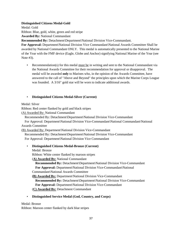## **Distinguished Citizens Medal-Gold**

Medal: Gold Ribbon: Blue, gold, white, green and red stripe **Awarded By:** National Commandant

**Recommended By:** Detachment\Department\National Division Vice-Commandant.

**For Approval:** Department\National Division Vice Commandant\National Awards Committee Shall be awarded by National Commandant ONLY. This medal is automatically presented to the National Marine of the Year with the FMF device (Eagle, Globe and Anchor) signifying National Marine of the Year (see Note #3).

• Recommendation(s) for this medal must be in writing and sent to the National Commandant via the National Awards Committee for their recommendation for approval or disapproval. The medal will be awarded **only** to Marines who, in the opinion of the Awards Committee, have answered to the call of "Above and Beyond" the principles upon which the Marine Corps League was founded. A 3/16" gold star will be worn to indicate additional awards.

# • **Distinguished Citizens Medal-Silver (Current)**

Medal: Silver

Ribbon: Red center flanked by gold and black stripes

(A) Awarded By: National Commandant

Recommended By: Detachment\Department\National Division Vice-Commandant

 For Approval: Department\National Division Vice-Commandant\National Commandant\National Awards Committee

(B) Awarded By: Department\National Division Vice-Commandant

 Recommended By: Detachment\Department\National Division Vice-Commandant For Approval: Department\National Division Vice Commandant

- **Distinguished Citizens Medal-Bronze (Current)**
	- Medal: Bronze

Ribbon: White center flanked by maroon stripes

(**A) Awarded By:** National Commandant

 **Recommended By:** Detachment\Department\National Division Vice-Commandant **For Approval:** Department\National Division Vice-Commandant\National Commandant\National Awards Committee

**(B) Awarded By:** Department\National Division Vice-Commandant

 **Recommended By:** Detachment\Department\National Division Vice-Commandant **For Approval:** Department\National Division Vice-Commandant (**C) Awarded By:** Detachment Commandant

# • **Distinguished Service Medal (God, Country, and Corps)**

# Medal: Bronze

Ribbon: Maroon center flanked by dark blue stripes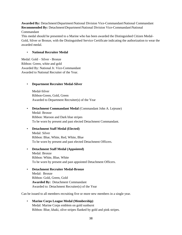**Awarded By:** Detachment\Department\National Division Vice-Commandant\National Commandant **Recommended By:** Detachment\Department\National Division Vice-Commandant\National Commandant

This medal should be presented to a Marine who has been awarded the Distinguished Citizen Medal-Gold, Silver or Bronze, with the Distinguished Service Certificate indicating the authorization to wear the awarded medal.

## • **National Recruiter Medal**

Medal: Gold – Silver - Bronze Ribbon: Green, white and gold Awarded By: National Jr. Vice-Commandant Awarded to National Recruiter of the Year.

### • **Department Recruiter Medal-Silver**

Medal-Silver Ribbon-Green, Gold, Green Awarded to Department Recruiter(s) of the Year

- **Detachment Commandant Medal** (Commandant John A. Lejeune) Medal: Bronze Ribbon: Maroon and Dark blue stripes To be worn by present and past elected Detachment Commandant.
- **Detachment Staff Medal (Elected)** Medal: Silver Ribbon: Blue, White, Red, White, Blue To be worn by present and past elected Detachment Officers.
- **Detachment Staff Medal (Appointed)** Medal: Bronze Ribbon: White, Blue, White To be worn by present and past appointed Detachment Officers.
- **Detachment Recruiter Medal-Bronze**  Medal: Bronze Ribbon: Gold, Green, Gold **Awarded By:** Detachment Commandant Awarded to: Detachment Recruiter(s) of the Year

Can be issued to all members recruiting five or more new members in a single year.

• **Marine Corps League Medal (Membership)** Medal: Marine Corps emblem on gold sunburst Ribbon: Blue, khaki, olive stripes flanked by gold and pink stripes.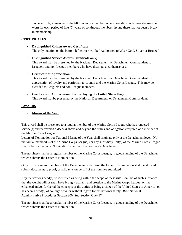To be worn by a member of the MCL who is a member in good standing. A bronze star may be worn for each period of five (5) years of continuous membership and there has not been a break in membership.

## **CERTIFICATES**

- **Distinguished Citizen Award Certificate** The only notation on the bottom left corner will be "Authorized to Wear-Gold, Silver or Bronze"
- **Distinguished Service Award (Certificate only)** This award may be presented by the National, Department, or Detachment Commandant to Leaguers and non-League members who have distinguished themselves.
- **Certificate of Appreciation**

This award may be presented by the National, Department, or Detachment Commandant for appreciation of loyalty and patriotism to country and the Marine Corps League. This may be awarded to Leaguers and non-League members.

• **Certificate of Appreciation (For displaying the United States flag)** This award maybe presented by the National, Department, or Detachment Commandant.

## **AWARDS**

• **Marine of the Year**

This award shall be presented to a regular member of the Marine Corps League who has rendered service(s) and performed a deed(s) above and beyond the duties and obligations required of a member of the Marine Corps League.

Letters of Nomination for National Marine of the Year shall originate only at the Detachment level. No individual member(s) of the Marine Corps League, nor any subsidiary unit(s) of the Marine Corps League shall submit a Letter of Nomination other than the nominee's Detachment.

The nominee shall be a regular member of the Marine Corps League, in good standing of the Detachment, which submits the Letter of Nomination.

Only officers and/or members of the Detachment submitting the Letter of Nomination shall be allowed to submit documentary proof, or affidavits on behalf of the nominee submitted.

Any meritorious deed(s) so identified as being within the scope of these rules shall be of such substance that the weight will or shall have brought acclaim and prestige to the Marine Corps League; or has enhanced and/or furthered the concepts of the duties of being a citizen of the United States of America; or has been a deed(s) of courage or valor without regard for his/her own safety. (See National Administrative Procedures Section 300, Sub-Section One (1))

The nominee shall be a regular member of the Marine Corps League, in good standing of the Detachment which submits the Letter of Nomination.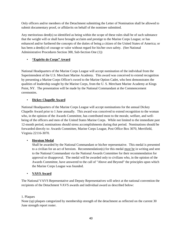Only officers and/or members of the Detachment submitting the Letter of Nomination shall be allowed to submit documentary proof, or affidavits on behalf of the nominee submitted.

Any meritorious deed(s) so identified as being within the scope of these rules shall be of such substance that the weight will or shall have brought acclaim and prestige to the Marine Corps League; or has enhanced and/or furthered the concepts of the duties of being a citizen of the United States of America; or has been a deed(s) of courage or valor without regard for his/her own safety. (See National Administrative Procedures Section 300, Sub-Section One (1))

# • **"Espirite de Corps" Award**

National Headquarters of the Marine Corps League will accept nomination of the individual from the Superintendent of the U.S. Merchant Marine Academy. This award was conceived to extend recognition by presenting a Marine Corps Officer's sword to the Marine Option Cadet, who best demonstrates the qualities of leadership sought by the Marine Corps, from the U. S. Merchant Marine Academy at Kings Point, NY. The presentation will be made by the National Commandant at the Commencement ceremonies.

# • **Dickey Chapelle Award**

National Headquarters of the Marine Corps League will accept nominations for the annual Dickey Chapelle Award prior to 1 June annually. This award was conceived to extend recognition to the woman who, in the opinion of the Awards Committee, has contributed most to the morale, welfare, and wellbeing of the officers and men of the United States Marine Corps. While not limited to the immediate past 12-month period, nominations should stress accomplishments during that period. Nominations should be forwarded directly to: Awards Committee, Marine Corps League, Post Office Box 3070, Merrifield, Virginia 22116-3070.

# • **Heroism Medal**

Shall be awarded by the National Commandant or his/her representative. This medal is presented to a civilian for an act of heroism. Recommendation(s) for this medal must be in writing and sent to the National Commandant via the National Awards Committee for their recommendation for approval or disapproval. The medal will be awarded only to civilians who, in the opinion of the Awards Committee, have answered to the call of "Above and Beyond" the principles upon which the Marine Corps League was founded.

# • **VAVS Award**

The National VAVS Representative and Deputy Representatives will select at the national convention the recipients of the Detachment VAVS awards and individual award as described below:

# 1. Plaques

None (sp) plaques categorized by membership strength of the detachment as reflected on the current 30 June strength report roster.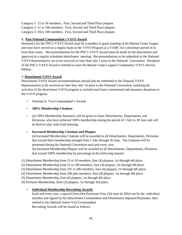Category 1: 15 to 50 members. First, Second and Third Place plaques. Category 2: 51 to 100 members. First, Second and Third Place plaques. Category 3: Over 100 members. First, Second and Third Place plaques.

# **2. Past National Commandant's VAVS Award**

Nominee's for the PNC's VAVS Award must be a member in good standing of the Marine Corps League and must have served on a regular basis in the VAVS Program at a VAMC for a minimum period of at least three years. Recommendations for the PNC's VAVS Award must be made by the detachment and approved at a regular scheduled detachment meeting. Recommendations to be submitted to the National VAVS Representative are to be received no later than July 1 prior to the National Convention. Recipient of the PNC's VAVS Award is entitled to wear the Marine Corps League's Community /VAVS Service Ribbon.

## 3. **Detachment VAVS Award**

Detachment VAVS Award recommendations should also be submitted to the National VAVS Representative to be received no later than July 1st prior to the National Convention, outlining the activities of the detachment VAVS program to include total hours volunteered and monetary donations to the VAVS program.

- National Jr. Vice Commandant's Awards
- **100% Membership Citations**
- (a) 100% Membership Streamers will be given to those Detachments, Departments, and Divisions, who have achieved 100% membership during the period of 1 July to 30 June and will be Red in color with Gold lettering.
- **Increased Membership Citations and Plaques**

(a) Increased Membership Citations will be awarded to all Detachments, Departments, Divisions that exceed their membership strength from 1 July through 30 June. The Citations will be presented during the National Convention each and every year.

(b) Increased Membership Plaques will be awarded to all Detachments, Departments, Divisions that exceed 100% membership by percentage in the following manner:

(1) Detachment Membership from 15 to 50 members, four (4) plaques; 1st through 4th place.

- (2) Detachment Membership from 51 to 100 members, four (4) plaques; 1st through 4th place.
- (3) Detachment Membership from 101 to 200 members, four (4) plaques; 1st through 4th place.
- (4) Detachment Membership from 200 plus members, four (4) plaques; 1st through 4th place.
- (5) Department Membership, four (4) plaques; 1st through 4th place.
- (6) Division Membership, three (3) plaques; 1st through 3rd place.

# • **Individual Membership Recruiting Awards**

Each and every year, a special form (See Enclosure Four (4)) must be filled out by the individual member and signed by the Detachment Commandant and Detachment Adjutant/Paymaster, then mailed to the National Junior Vice-Commandant.

Recruiting Awards will be issued as follows: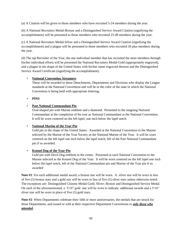(a) A Citation will be given to those members who have recruited 5-24 members during the year.

(b) A National Recruiters Medal-Bronze and a Distinguished Service Award Citation (signifying the accomplishment) will be presented to those members who recruited 25-49 members during the year.

(c) A National Recruiters Medal-Silver and a Distinguished Service Award Citation (signifying the accomplishment) and a plague will be presented to those members who recruited 50 plus members during the year.

(d) The top Recruiter of the Year, the one individual member that has recruited the most members through his/her individual efforts will be presented the National Recruiters Medal-Gold (appropriately engraved), and a plague in the shape of the United States with his/her name engraved thereon and the Distinguished Service Award Certificate (signifying the accomplishment).

## • **National Convention Streamers**

These will be awarded to those Detachments, Departments and Divisions who display the League standards at the National Convention and will be in the color of the state in which the National Convention is being held with appropriate lettering.

• **PINS**

## • **Past National Commandant Pin**

Oval-shaped pin with Marine emblem and a diamond. Presented to the outgoing National Commandant at the completion of his tour as National Commandant at the National Convention. It will be worn centered on the left lapel, one inch below the lapel notch.

## • **National Marine of the Year Pin**

Gold pin in the shape of the United States. Awarded at the National Convention to the Marine selected by the Marine of the Year Society as the National Marine of the Year. It will be worn centered on the left lapel one inch below the lapel notch, left of the Past National Commandant pin if so awarded.

## • **Kennel Dog of the Year Pin**

Gold pin with Devil Dog emblem in the center. Presented at each National Convention to the Marine selected as the Kennel Dog of the Year. It will be worn centered on the left lapel one inch below the lapel notch, left of the National Commandant pin and Marine of the Year pin if so awarded

**Note #1**: For each additional medal award, a bronze star will be worn. A silver star will be worn in lieu of five (5) bronze stars and a gold star will be worn in lieu of five (5) silver stars unless otherwise noted. The exceptions are: Distinguished Citizens Medal-Gold; Sliver; Bronze and Distinguished Service Medal. On each of the aforementioned, a 5/16" gold star will be worn to indicate additional awards and a 5/16" sliver star will be worn in place of five (5) gold stars.

**Note #2**: When Departments celebrate their 50th or more anniversaries, the medals that are struck for those Departments, and issued or sold at their respective Department Conventions to *only those who attended*.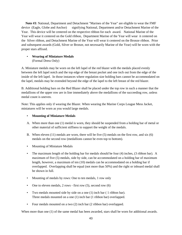**Note #3**: National, Department and Detachment "Marines of the Year" are eligible to wear the FMF device (Eagle, Globe and Anchor) signifying National, Department and/or Detachment Marine of the Year. This device will be centered on the respective ribbon for each award. National Marine of the Year will wear it centered on the Gold ribbon, Department Marine of the Year will wear it centered on the Silver ribbon, and Detachment Marine of the Year will wear it centered on the Bronze ribbon. Prior and subsequent awards (Gold, Silver or Bronze, not necessarily Marine of the Year) will be worn with the proper stars affixed.

## • **Wearing of Miniature Medals**  (Formal Dress Only)

A. Miniature medals may be worn on the left lapel of the red blazer with the medals placed evenly between the left lapel notch and the top edge of the breast pocket and one inch out from the edge of the inside of the left lapel. In those instances where regulation size holding bars cannot be accommodated on the lapel, medals may be extended beyond the edge of the lapel to the left breast of the red blazer.

B. Additional holding bars on the Red Blazer shall be placed under the top row in such a manner that the medallions of the upper row are in line immediately above the medallions of the succeeding row, unless medal count is uneven.

Note: This applies only if wearing the Blazer. When wearing the Marine Corps League Mess Jacket, miniatures will be worn as you would large medals.

## • **Mounting of Miniature Medals**

- A. When more than one (1) medal is worn, they should be suspended from a holding bar of metal or other material of sufficient stiffness to support the weight of the medals.
- B. When eleven (11) medals are worn, there will be five (5) medals on the first row, and six (6) medals on the second row (medallions cannot be even top to bottom).
- Mounting of Miniature Medals
- The maximum length of the holding bar for medals should be four (4) inches, (3 ribbon bar). A maximum of five (5) medals, side by side, can be accommodated on a holding bar of maximum length, however, a maximum of ten (10) medals can be accommodated on a holding bar if overlapped. Overlapping shall be equal (not more than 50%) and the right or inboard medal shall be shown in full.
- Mounting of medals by rows: One to ten medals, 1 row only
- One to eleven medals,  $2 \text{ rows} \text{first row} (5)$ , second row  $(6)$
- Two medals mounted side by side on a one (1) inch bar ( 1 ribbon bar). Three medals mounted on a one (1) inch bar (1 ribbon bar) overlapped.
- Four medals mounted on a two (2) inch bar (2 ribbon bar) overlapped.

When more than one (1) of the same medal has been awarded, stars shall be worn for additional awards.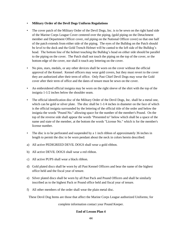#### • **Military Order of the Devil Dogs Uniform Regulations**

- The cover patch of the Military Order of the Devil Dogs, Inc. is to be sewn on the right hand side of the Marine Corps League Cover centered over the piping, (gold piping on the Detachment member and Department Officer cover, red piping on the National Officer cover) so that one half of the patch extends from either side of the piping. The eyes of the Bulldog on the Patch should be level to the deck and the Gold Trench Helmet will be canted to the left side of the Bulldog"s head. The bottom line of the helmet touching the Bulldog's head on either side should be parallel to the piping on the cover. The Patch shall not touch the piping on the top of the cover, or the bottom edge of the cover, nor shall it touch any lettering on the cover.
- No pins, stars, medals, or any other devices shall be worn on the cover without the official approval of the Kennel. Kennel officers may wear gold covers, but they must revert to the cover they are authorized after their term of office. Only Past Chief Devil Dogs may wear the Gold cover after their term of office and the dates of tenure must be sewn on the cover.
- An embroidered official insignia may be worn on the right sleeve of the shirt with the top of the insignia 1-1/2 inches below the shoulder seam.
- The official identification disc of the Military Order of the Devil Dogs, Inc. shall be a metal one, which can be gold or silver plate. The disc shall be 1-1/4 inches in diameter on the face of which is the official insignia surrounded by the lettering of the official title of the order and below the insignia the words "Pound No." allowing space for the number of the member's Pound. On the top of the reverse side shall appear the words "Presented to" below which shall be a space of the name and state of the member, at the bottom the words "License No." which is for the member's license number.
- The disc is to be perforated and suspended by a 1 inch ribbon of approximately 36 inches in length to permit the disc to be worn pendant about the neck in colors herein described:
- a) All active PEDIGREED DEVIL DOGS shall wear a gold ribbon.
- b) All active DEVIL DOGS shall wear a red ribbon.
- c) All active PUPS shall wear a black ribbon.
- d) Gold plated discs shall be worn by all Past Kennel Officers and bear the name of the highest office held and the fiscal year of tenure.
- e) Silver plated discs shall be worn by all Past Pack and Pound Officers and shall be similarly inscribed as to the highest Pack or Pound office held and fiscal year of tenure.
- f) All other members of the order shall wear the plain metal disc.

These Devil Dog Items are those that affect the Marine Corps League authorized Uniforms; for

complete information contact your Pound Keeper.

#### **End of Lesson Plan 4**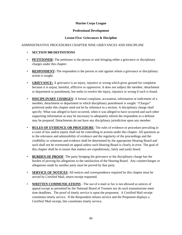### **Marine Corps League**

#### **Professional Development**

## **Lesson Five: Grievances & Discipline**

## ADMINISTRATIVE PROCEDURES CHAPTER NINE GRIEVANCES AND DISCIPLINE

- **SECTION 900 DEFINITIONS**
- **PETITIONER:** The petitioner is the person or unit bringing either a grievance or disciplinary charges under this chapter.
- **RESPONDENT:** The respondent is the person or unit against whom a grievance or disciplinary action is sought.
- **GRIEVANCE:** A grievance is an injury, injustice or wrong which gives ground for complaint because it is unjust, harmful, afflictive or oppressive. It does not subject the member, detachment or department to punishment, but seeks to resolve the injury, injustice or wrong if such is found.
- **DISCIPLINARY CHARGES:** A formal complaint, accusation, information or indictment of a member, detachment or department in which disciplinary punishment is sought. "Charges" preferred under this chapter need not be by reference to a section. A disciplinary charge shall specify: What was alleged to have occurred, when it was alleged to have occurred and such other supporting information as may be necessary to adequately inform the respondent so a defense may be prepared. Detachments do not have any disciplinary jurisdiction upon any member.
- **RULES OF EVIDENCE OR PROCEDURE**: The rules of evidence or procedure prevailing in a court of law and/or equity shall not be controlling in actions under this chapter. All questions as to the relevance and admissibility of evidence and the regularity of the proceedings and the credibility or witnesses and evidence shall be determined by the appropriate Hearing Board and such shall not be overturned on appeal unless such Hearing Board is clearly in error. The goal of this chapter shall be to insure that matters are expeditiously, fairly and justly heard.
- **BURDEN OF PROOF**: The party bringing the grievance or the disciplinary charge has the burden of proving his allegations to the satisfaction of the Hearing Board. Any countercharges or allegations made by another party must be proved by that party.
- **SERVICE OF NOTICES**: All notices and correspondence required by this chapter must be served by Certified Mail, return receipt requested.
- **WRITTEN COMMUNICATIONS** The use of e-mail or fax is not allowed as notices of appeal except as permitted by the National Board of Trustees nor do such transmissions meet time deadlines. The proof of timely service is upon the proponent. A Certified Mail receipt constitutes timely service. If the Respondent refuses service and the Proponent displays a Certified 'Mail receipt, this constitutes timely service.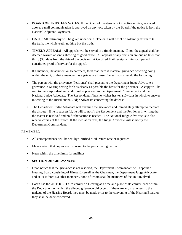- **BOARD OF TRUSTEES VOTES**: If the Board of Trustees is not in active service, as stated above, e-mail communication is approved on any vote taken by the Board if the notice is from the National Adjutant/Paymaster.
- **OATH:** All testimony will be given under oath. The oath will be: "I do solemnly affirm to tell the truth, the whole truth, nothing but the truth."
- **TIMELY APPEALS** All appeals will be served in a timely manner. If not, the appeal shall be deemed waived absent a showing of good cause. All appeals of any decision are due no later than thirty (30) days from the date of the decision. A Certified Mail receipt within such period constitutes proof of service for the appeal.
- If a member, Detachment or Department, feels that there is material grievance or wrong doing within the unit, or that a member has a grievance himself/herself you must do the following:
- The person with the grievance (Petitioner) shall present to the Department Judge Advocate a grievance in writing setting forth as clearly as possible the basis for the grievance. A copy will be sent to the Respondent and additional copies sent to the Department Commandant and the National Judge Advocate. The Respondent, if he/she wishes has ten (10) days in which to answer in writing to the Jurisdictional Judge Advocate concerning the defense.
- The Department Judge Advocate will examine the grievance and immediately attempt to mediate the dispute. If he is successful, he will so notify the Respondent and the Petitioner in writing that the matter is resolved and no further action is needed. The National Judge Advocate is to also receive copies of the report. If the mediation fails, the Judge Advocate will so notify the Department Commandant.

## REMEMBER

- All correspondence will be sent by Certified Mail, return receipt requested.
- Make certain that copies are disbursed to the participating parties.
- Keep within the time limits for mailings.

## • **SECTION 901 GRIEVANCES**

- Upon notice that the grievance is not resolved, the Department Commandant will appoint a Hearing Board consisting of Himself/Herself as the Chairman, the Department Judge Advocate and at least three (3) other members, none of whom shall be members of the unit involved.
- Board has the AUTHORITY to convene a Hearing at a time and place of its convenience within the Department on which the alleged grievance did occur. If there are any challenges to the makeup of the Hearing Board, they must be made prior to the convening of the Hearing Board or they shall be deemed waived.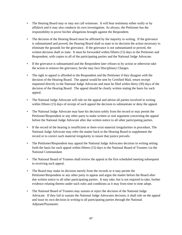- The Hearing Board may or may not call witnesses. It will hear testimony either orally or by affidavit and it may also conducts its own investigation. As always, the Petitioner has the responsibility to prove his/her allegations brought against the Respondent.
- The decision of the Hearing Board must be affirmed by the majority in writing. If the grievance is substantiated and proved, the Hearing Board shall so state in its decision the action necessary to eliminate the grounds for the grievance. If the grievance is not substantiated or proved, the written decision shall so state. It must be forwarded within fifteen (15) days to the Petitioner and Respondent, with copies to all of the participating parties and the National Judge Advocate.
- If the grievance is substantiated and the Respondent later refuses to by action or otherwise take the action to remove the grievance, he/she may face Disciplinary Charges.
- The right to appeal is afforded to the Respondent and the Petitioner if they disagree with the decision of the Hearing Board. The appeal would be sent by Certified Mail, return receipt requested directly to the National Judge Advocate and must be filed within thirty (30) days of the decision of the Hearing Board. The appeal should be clearly written stating the basis for such appeal.
- The National Judge Advocate will rule on the appeal and advise all parties involved in writing within fifteen (15) days of receipt of such appeal the decision to substantiate or deny the appeal.
- The National Judge Advocate may base his decision solely from the record or may permit the Petitioner/Respondent or any other party to make written or oral argument concerning the appeal before the National Judge Advocate after due written notice to all other participating parties.
- If the record of the hearing is insufficient or there exist material irregularities in procedure, The National Judge Advocate may refer the matter back to the Hearing Board to supplement the record or to correct such material irregularity to insure that justice prevails.
- The Petitioner/Respondent may appeal the National Judge Advocates decision in writing setting forth the basis for such appeal within fifteen (15) days to the National Board of Trustees via the National Commandant.
- The National Board of Trustees shall review the appeal at the first scheduled meeting subsequent to receiving such appeal.
- The Board may make its decision merely from the records or it may permit the Petitioner/Respondent or any other party to appear and argue the matter before the Board after due written notice to all other participating parties. It may take, but is not required to take, further evidence relating thereto under such rules and conditions as it may from time to time adopt.
- The National Board of Trustees may sustain or reject the decision of the National Judge Advocate. If they fail to sustain the National Judge Advocates decision, it shall rule on the appeal and issue its own decision in writing to all participating parties through the National Adjutant/Paymaster.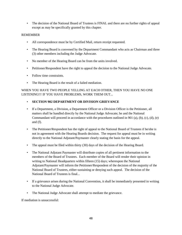• The decision of the National Board of Trustees is FINAL and there are no further rights of appeal except as may be specifically granted by this chapter.

### REMEMBER

- All correspondence must be by Certified Mail, return receipt requested.
- The Hearing Board is convened by the Department Commandant who acts as Chairman and three (3) other members including the Judge Advocate.
- No member of the Hearing Board can be from the units involved.
- Petitioner/Respondent have the right to appeal the decision to the National Judge Advocate.
- Follow time constraints.
- The Hearing Board is the result of a failed mediation.

## WHEN YOU HAVE TWO PEOPLE YELLING AT EACH OTHER, THEN YOU HAVE NO ONE LISTENING!!! IF YOU HAVE PROBLEMS, WORK THEM OUT...

### • **SECTION 902 DEPARTMENT OR DIVISION GRIEVANCE**

- If a Department, a Division, a Department Officer or a Division Officer is the Petitioner, all matters shall be handled directly by the National Judge Advocate; he and the National Commandant will proceed in accordance with the procedures outlined in 901 (a), (b), (c), (d), (e) and (f).
- The Petitioner/Respondent has the right of appeal to the National Board of Trustees if he/she is not in agreement with the Hearing Boards decision. The request for appeal must be in writing directly to the National Adjutant/Paymaster clearly stating the basis for the appeal.
- The appeal must be filed within thirty (30) days of the decision of the Hearing Board.
- The National Adjutant Paymaster will distribute copies of all pertinent information to the members of the Board of Trustees. Each member of the Board will render their opinion in writing to National Headquarters within fifteen (15) days; whereupon the National Adjutant/Paymaster will inform the Petitioner/Respondent of the decision of the majority of the National Board of Trustees, either-sustaining or denying such appeal. The decision of the National Board of Trustees is final...
- If a grievance arises during the National Convention, it shall be immediately presented in writing to the National Judge Advocate.
- The National Judge Advocate shall attempt to mediate the grievance.

If mediation is unsuccessful: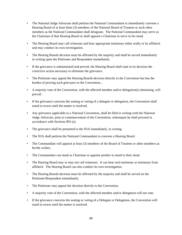- The National Judge Advocate shall petition the National Commandant to immediately convene a Hearing Board of at least three (3) members of the National Board of Trustees or such other members as the National Commandant shall designate. The National Commandant may serve as the Chairman of that Hearing Board or shall appoint a Chairman to serve in his stead.
- The Hearing Board may call witnesses and hear appropriate testimony either orally or by affidavit and may conduct its own investigation.
- The Hearing Boards decision must be affirmed by the majority and shall be served immediately in writing upon the Petitioner and Respondent immediately.
- If the grievance is substantiated and proved, the Hearing Board shall state in its decision the corrective action necessary to eliminate the grievance.
- The Petitioner may appeal the Hearing Boards decision directly to the Convention but has the burden of proving such grievance to the Convention...
- A majority vote of the Convention, with the affected member and/or delegation(s) abstaining, will prevail.
- If the grievance concerns the seating or voting of a delegate or delegation, the Convention shall stand in recess until the matter is resolved.
- Any grievance applicable to a National Convention, shall be filed in writing with the National Judge Advocate, prior to commencement of the Convention; whereupon he shall proceed in accordance with Sections 903 (a).
- The grievance shall be presented to the NJA immediately, in writing.
- The NJA shall petition the National Commandant to convene a Hearing Board.
- The Commandant will appoint at least (3) members of the Board of Trustees or other members as he/she wishes.
- The Commandant can stand as Chairman or appoint another to stand in their stead.
- The Hearing Board may or may not call witnesses. It can hear oral testimony or testimony from affidavit. The Hearing Board can also conduct its own investigation.
- The Hearing Boards decision must be affirmed by the majority and shall be served on the Petitioner/Respondent immediately.
- The Petitioner may appeal the decision directly to the Convention.
- A majority vote of the Convention, with the affected member and/or delegation will not vote.
- If the grievance concerns the seating or voting of a Delegate or Delegation, the Convention will stand in recess until the matter is resolved.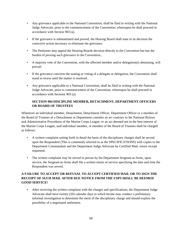- Any grievance applicable to the National Convention, shall be filed in writing with the National Judge Advocate, prior to the commencement of the Convention; whereupon he shall proceed in accordance with Section 903 (a).
- If the grievance is substantiated and proved, the Hearing Board shall state in its decision the corrective action necessary to eliminate the grievance.
- The Petitioner may appeal the Hearing Boards decision directly to the Convention but has the burden of proving such grievance to the Convention...
- A majority vote of the Convention, with the affected member and/or delegation(s) abstaining, will prevail.
- If the grievance concerns the seating or voting of a delegate or delegation, the Convention shall stand in recess until the matter is resolved.
- Any grievance applicable to a National Convention, shall be filed in writing with the National Judge Advocate, prior to commencement of the Convention; whereupon he shall proceed in accordance with Sections 903 (a).

# **SECTION 904 DISCIPLINE MEMBER, DETACHMENT, DEPARTMENT OFFICERS OR BOARD OF TRUSTEES**

Whenever an individual member, Detachment, Detachment Officer, Department Officer or a member of the Board of Trustees of a Detachment or Department commits an act contrary to the National Bylaws and Administrative Procedures of the Marine Corps League, or an act deemed not in the best interest of the Marine Corps League, said individual member, or member of the Board of Trustees shall be charged as follows:

- A written complaint setting forth in detail the basis of the disciplinary charges shall be served upon the Respondent (This is commonly referred to as the SPECIFICATIONS) with copies to the Department Commandant and the Department Judge Advocate by Certified Mail, return receipt requested.
- The written complaint may be served in person by the Department Sergeant-at-Arms, upon service, the Sergeant-at-Arms shall file a written return of service specifying the date and time the Respondent was served.

# **A FAILURE TO ACCEPT OR REFUSAL TO ACCEPT CERTIFIED MAIL OR TO SIGN THE RECEIPT OF SUCH MAIL AFTER DUE NOTICE FROM THE USPS SHALL BE DEEMED GOOD SERVICE!**

• After receiving the written complaint with the charges and specifications, the Department Judge Advocate shall have twenty (20) calendar days in which he/she may conduct a preliminary informal investigation to determine the merit of the disciplinary charge and should explore the possibility of a negotiated settlement.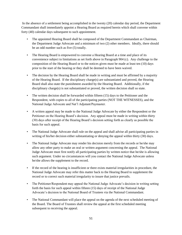In the absence of a settlement being accomplished in the twenty (20) calendar day period, the Department Commandant shall immediately appoint a Hearing Board as required herein which shall convene within forty (40) calendar days subsequent to such appointment.

- The appointed Hearing Board shall be composed of the Department Commandant as Chairman, the Department Judge Advocate and a minimum of two (2) other members. Ideally, there should be an odd number such as five (5) totally.
- The Hearing Board is empowered to convene a Hearing Board at a time and place of its convenience subject to limitations as set forth above in Paragraph 904 (c). Any challenge to the composition of the Hearing Board or to the notices given must be made at least ten (10) days prior to the start of the hearing or they shall be deemed to have been waived.
- The decision by the Hearing Board shall be made in writing and must be affirmed by a majority of the Hearing Board. If the disciplinary charge(s) are substantiated and proved, the Hearing Board shall also state the punishment awarded by the Hearing Board. Additionally, if the disciplinary charge(s) is not substantiated or proved, the written decision shall so state.
- The written decision shall be forwarded within fifteen (15) days to the Petitioner and the Respondent, with copies to all of the participating parties (NOT THE WITNESSES), and the National Judge Advocate and Nat"l Adjutant/Paymaster.
- A written appeal may be made to the National Judge Advocate by either the Respondent or the Petitioner on the Hearing Board"s decision. Any appeal must be made in writing within thirty (30) days after receipt of the Hearing Board"s decision setting forth as clearly as possible the basis for such appeal.
- The National Judge Advocate shall rule on the appeal and shall advise all participating parties in writing of his/her decision either substantiating or denying the appeal within thirty (30) days.
- The National Judge Advocate may render his decision merely from the records or he/she may allow any other party to make an oral or written argument concerning the appeal. The National Judge Advocate must first notify all participating parties by written notice that he/she is allowing such argument. Under no circumstances will you contact the National Judge Advocate unless he/she allows the supplement to the record.
- If the record of the hearing is insufficient or there exists material irregularities in procedure, the National Judge Advocate may refer this matter back to the Hearing Board to supplement the record or to correct such material irregularity to insure that justice prevails.
- The Petitioner/Respondent may appeal the National Judge Advocate's decision in writing setting forth the basis for such appeal within fifteen (15) days of receipt of the National Judge Advocate"s decision to the National Board of Trustees via the National Commandant.
- The National Commandant will place the appeal on the agenda of the next scheduled meeting of the Board. The Board of Trustees shall review the appeal at the first scheduled meeting subsequent to receiving the appeal.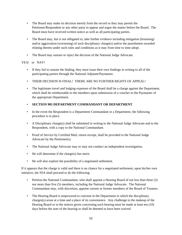- The Board may make its decision merely from the record or they may permit the Petitioner/Respondent or any other party to appear and argue the matter before the Board. The Board must have received written notice as well as all participating parties.
- The Board may, but is not obligated to, take further evidence including mitigation (lessening) and/or aggravation (worsening) of such disciplinary charge(s) and/or the punishment awarded relating thereto under such rules and conditions as it may from time to time adopt.
- The Board may sustain or reject the decision of the National Judge Advocate.

## YEA! or NAY!

- If they fail to sustain the finding, they must issue their own findings in writing to all of the participating parties through the National Adjutant/Paymaster.
- THEIR DECISION IS FINAL! THERE ARE NO FURTHER RIGHTS OF APPEAL!
- The legitimate travel and lodging expenses of the Board shall be a charge against the Department, which shall be reimbursable to the members upon submission of a voucher to the Paymaster of the appropriate Department.

# • **SECTION 905 DEPARTMENT COMMANDANT OR DEPARTMENT**

- In the event the Respondent is a Department Commandant or a Department, the following procedure is in place.
- A Disciplinary charge(s) shall be submitted in writing to the National Judge Advocate and to the Respondent, with a copy to the National Commandant.
- Proof of Service by Certified Mail, return receipt, shall be provided to the National Judge Advocate by the Petitioner(s).
- The National Judge Advocate may or may not conduct an independent investigation.
- He will determine if the charge(s) has merit.
- He will also explore the possibility of a negotiated settlement.

If it appears that the charge is valid and there is no chance for a negotiated settlement, upon his/her own initiative, the NJA shall proceed to do the following:

- Petition the National Commandant, who shall appoint a Hearing Board of not less than three (3) nor more than five (5) members, including the National Judge Advocate. The National Commandant may, with discretion, appoint current or former members of the Board of Trustees.
- The Hearing Board is empowered to convene in the Department in which the disciplinary charges(s) arose at a time and a place of its convenience. Any challenge to the makeup of the Hearing Board or to the notices given concerning such hearing must be made at least ten (10) days before the start of the hearing or shall be deemed to have been waived.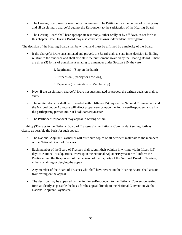- The Hearing Board may or may not call witnesses. The Petitioner has the burden of proving any and all disciplinary charge(s) against the Respondent to the satisfaction of the Hearing Board.
- The Hearing Board shall hear appropriate testimony, either orally or by affidavit, as set forth in this chapter. The Hearing Board may also conduct its own independent investigation.

The decision of the Hearing Board shall be written and must be affirmed by a majority of the Board.

- If the charge(s) is/are substantiated and proved, the Board shall so state in its decision its finding relative to the evidence and shall also state the punishment awarded by the Hearing Board. There are three (3) forms of punishment relating to a member under Section 910, they are:
	- 1. Reprimand (Slap on the hand)
	- 2. Suspension (Specify for how long)
	- 3. Expulsion (Termination of Membership)
- Now, if the disciplinary charge(s) is/are not substantiated or proved, the written decision shall so state.
- The written decision shall be forwarded within fifteen (15) days to the National Commandant and the National Judge Advocate will affect proper service upon the Petitioner/Respondent and all of the participating parties and Nat"l Adjutant/Paymaster.
- The Petitioner/Respondent may appeal in writing within

 thirty (30) days to the National Board of Trustees via the National Commandant setting forth as clearly as possible the basis for such appeal.

- The National Adjutant/Paymaster will distribute copies of all pertinent materials to the members of the National Board of Trustees.
- Each member of the Board of Trustees shall submit their opinion in writing within fifteen (15) days to National Headquarters, whereupon the National Adjutant/Paymaster will inform the Petitioner and the Respondent of the decision of the majority of the National Board of Trustees, either sustaining or denying the appeal.
- Any member of the Board of Trustees who shall have served on the Hearing Board, shall abstain from voting on the appeal.
- The decision may be appealed by the Petitioner/Respondent to the National Convention setting forth as clearly as possible the basis for the appeal directly to the National Convention via the National Adjutant/Paymaster.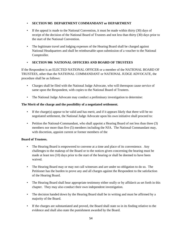## • **SECTION 905 DEPARTMENT COMMANDANT or DEPARTMENT**

- If the appeal is made to the National Convention, it must be made within thirty (30) days of receipt of the decision of the National Board of Trustees and not less than thirty (30) days prior to the start of the National Convention.
- The legitimate travel and lodging expenses of the Hearing Board shall be charged against National Headquarters and shall be reimbursable upon submission of a voucher to the National Comptroller.

## • **SECTION 906 NATIONAL OFFICERS AND BOARD OF TRUSTEES**

If the Respondent is an ELECTED NATIONAL OFFICER or a member of the NATIONAL BOARD OF TRUSTEES, other than the NATIONAL COMMANDANT or NATIONAL JUDGE ADVOCATE, the procedure shall be as follows:

- Charges shall be filed with the National Judge Advocate, who will thereupon cause service of same upon the Respondent, with copies to the National Board of Trustees.
- The National Judge Advocate may conduct a preliminary investigation to determine:

## **The Merit of the charge and the possibility of a negotiated settlement.**

- If the charge(s) appear to be valid and has merit, and if it appears likely that there will be no negotiated settlement, the National Judge Advocate upon his own initiative shall proceed to:
- Petition the National-Commandant, who shall appoint a Hearing Board of not less than three (3) members nor more than five (5) members including the NJA. The National Commandant may, with discretion, appoint current or former members of the

#### **Board of Trustees.**

- The Hearing Board is empowered to convene at a time and place of its convenience. Any challenges to the makeup of the Board or to the notices given concerning the hearing must be made at least ten (10) days prior to the start of the hearing or shall be deemed to have been waived.
- The Hearing Board may or may not call witnesses and are under no obligation to do so. The Petitioner has the burden to prove any and all charges against the Respondent to the satisfaction of the Hearing Board.
- The Hearing Board shall hear appropriate testimony either orally or by affidavit as set forth in this chapter. They may also conduct their own independent investigation.
- The decision handed down by the Hearing Board shall be in writing and must be affirmed by a majority of the Board.
- If the charges are substantiated and proved, the Board shall state so in its finding relative to the evidence and shall also state the punishment awarded by the Board.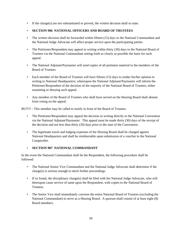• If the charge(s) are not substantiated or proved, the written decision shall so state.

# • **SECTION 906 NATIONAL OFFICERS AND BOARD OF TRUSTEES**

- The written decision shall be forwarded within fifteen (15) days to the National Commandant and the National Judge Advocate will affect proper service upon the participating parties.
- The Petitioner/Respondent may appeal in writing within thirty (30) days to the National Board of Trustees via the National Commandant setting forth as clearly as possible the basis for such appeal.
- The National Adjutant/Paymaster will send copies of all pertinent material to the members of the Board of Trustees.
- Each member of the Board of Trustees will have fifteen (15) days to render his/her opinion in writing to National Headquarters; whereupon the National Adjutant/Paymaster will inform the Petitioner/Respondent of the decision of the majority of the National Board of Trustees, either sustaining or denying such appeal.
- Any member of the Board of Trustees who shall have served on the Hearing Board shall abstain from voting on the appeal.

BUT!!! - This member may be called to testify in front of the Board of Trustees.

- The Petitioner/Respondent may appeal the decision in writing directly to the National Convention via the National Adjutant/Paymaster. This appeal must be made thirty (30) days of the receipt of the decision and not less than thirty (30) days prior to the start of the Convention.
- The legitimate travel and lodging expenses of the Hearing Board shall be charged against National Headquarters and shall be reimbursable upon submission of a voucher to the National Comptroller.

# • **SECTION 907 NATIONAL COMMANDANT**

In the event the National Commandant shall be the Respondent, the following procedure shall be followed:

- The National Senior Vice Commandant and the National Judge Advocate shall determine if the charge(s) is serious enough to merit further proceedings.
- If so found, the disciplinary charge(s) shall be filed with the National Judge Advocate, who will thereupon cause service of same upon the Respondent, with copies to the National Board of **Trustees**
- The Senior Vice shall immediately convene the entire National Board of Trustees (excluding the National Commandant) to serve as a Hearing Board. A quorum shall consist of at least eight (8) Board members.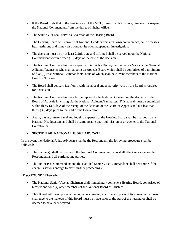- If the Board finds that in the best interest of the MCL, it may, by 2/3rds vote, temporarily suspend the National Commandant from the duties of his/her office.
- The Senior Vice shall serve as Chairman of the Hearing Board.
- The Hearing Board will convene at National Headquarters at its own convenience, call witnesses, hear testimony and it may also conduct its own independent investigation.
- The decision must be by at least 2/3rds vote and affirmed shall be served upon the National Commandant within fifteen (15) days of the date of the decision.
- The National Commandant may appeal within thirty (30) days to the Senior Vice via the National Adjutant/Paymaster who shall appoint an Appeals Board which shall be comprised of a minimum of five (5) Past National Commandants, none of which shall be current-members of the-National Board of Trustees.
- The Board shall concern itself only with the appeal and a majority vote by the Board is required for a decision.
- The National Commandant may further appeal to the National Convention the decision of the Board of Appeals in writing via the National Adjutant/Paymaster. This appeal must be submitted within thirty (30) days of the receipt of the decision of the Board of Appeals and not less than thirty (30) days prior to the start of the Convention.
- Again, the legitimate travel and lodging expenses of the Hearing Board shall be charged against National Headquarters and shall be reimbursable upon submission of a voucher to the National Comptroller.

# • **SECTION 908 NATIONAL JUDGE ADVCATE**

In the event the National Judge Advocate shall be the Respondent, the following procedure shall be followed:

- The charge(s) shall be filed with the National Commandant, who shall affect service upon the Respondent and all participating parties.
- The Junior Past Commandant and the National Senior Vice Commandant shall determine if the charge is serious enough to merit further proceedings.

# **IF SO FOUND "Then what"**

- The National Senior Vice as Chairman shall immediately convene a Hearing Board, comprised of himself and four (4) other members of the National Board of Trustees.
- This Board will be empowered to convene a hearing at a time and place of its convenience. Any challenge to the makeup of this Board must be made prior to the start of the hearing or shall be deemed to have been waived.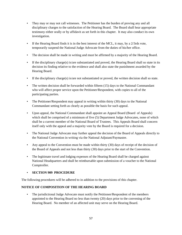- They may or may not call witnesses. The Petitioner has the burden of proving any and all disciplinary charges to the satisfaction of the Hearing Board. The Board shall hear appropriate testimony either orally or by affidavit as set forth in this chapter. It may also conduct its own investigation.
- If the Hearing Board finds it is in the best interest of the MCL, it may, by a 2/3rds vote, temporarily suspend the National Judge Advocate from the duties of his/her office.
- The decision shall be made in writing and must be affirmed by a majority of the Hearing Board.
- If the disciplinary charge(s) is/are substantiated and proved, the Hearing Board shall so state in its decision its finding relative to the evidence and shall also state the punishment awarded by the Hearing Board.
- If the disciplinary charge(s) is/are not substantiated or proved, the written decision shall so state.
- The written decision shall be forwarded within fifteen (15) days to the National Commandant who will affect proper service upon the Petitioner/Respondent, with copies to all of the participating parties.
- The Petitioner/Respondent may appeal in writing within thirty (30) days to the National Commandant setting forth as clearly as possible the basis for such appeal.
- Upon appeal, the National Commandant shall appoint an Appeal Board (Board of Appeals) which shall be comprised of a minimum of five (5) Department Judge Advocates, none of which shall be a current member of the National Board of Trustees. This Appeals Board shall concern itself only with the appeal and a majority vote by the Board is required for a decision.
- The National Judge Advocate may further appeal the decision of the Board of Appeals directly to the National Convention in writing via the National Adjutant/Paymaster.
- Any appeal to the Convention must be made within thirty (30) days of receipt of the decision of the Board of Appeals and not less than thirty (30) days prior to the start of the Convention.
- The legitimate travel and lodging expenses of the Hearing Board shall be charged against National Headquarters and shall be reimbursable upon submission of a voucher to the National Comptroller.

## • **SECTION 909 PROCEDURE**

The following procedures will be adhered to in addition to the provisions of this chapter.

## **NOTICE OF COMPOSITION OF THE HEARING BOARD**

• The jurisdictional Judge Advocate must notify the Petitioner/Respondent of the members appointed to the Hearing Board no less than twenty (20) days prior to the convening of the Hearing Board. No member of an affected unit may serve on the Hearing Board.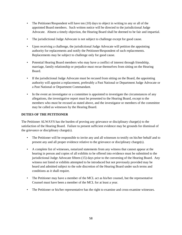- The Petitioner/Respondent will have ten (10) days to object in writing to any or all of the appointed Board members. Such written notice will be directed to the jurisdictional Judge Advocate. Absent a timely objection, the Hearing Board shall be deemed to be fair and impartial.
- The jurisdictional Judge Advocate is not subject to challenge except for good cause.
- Upon receiving a challenge, the jurisdictional Judge Advocate will petition the appointing authority for replacements and notify the Petitioner/Respondent of such replacements. Replacements may be subject to challenge only for good cause.
- Potential Hearing Board members who may have a conflict of interest through friendship, marriage, family relationship or prejudice must recue themselves from sitting on the Hearing Board.
- If the jurisdictional Judge Advocate must be recused from sitting on the Board, the appointing authority will appoint a replacement, preferably a Past National or Department Judge Advocate or a Past National or Department Commandant.
- In the event an investigator or a committee is appointed to investigate the circumstances of any allegations, the investigative report must be presented to the Hearing Board, except to the members who must be recused as stated above, and the investigator or members of the committee may be called as witnesses by the Hearing Board.

# **DUTIES OF THE PETITIONER**

The Petitioner ALWAYS has the burden of proving any grievance or disciplinary charge(s) to the satisfaction of the Hearing Board. Failure to present sufficient evidence may be grounds for dismissal of the grievance or disciplinary charge(s).

- The Petitioner will be responsible to invite any and all witnesses to testify on his/her behalf and to present any and all proper evidence relative to the grievance or disciplinary charge(s).
- A complete list of witnesses, notarized statements from any witness that cannot appear at the hearing in person and copies of all exhibits to be offered into evidence must be submitted to the jurisdictional Judge Advocate fifteen (15) days prior to the convening of the Hearing Board. Any witness not listed or exhibits attempted to be introduced but not previously provided may be heard and admitted subject to the sole discretion of the Hearing Board under such terms and conditions as it shall require.
- The Petitioner may have a member of the MCL act as his/her counsel, but the representative Counsel must have been a member of the MCL for at least a year.
- The Petitioner or his/her representative has the right to examine and cross-examine witnesses.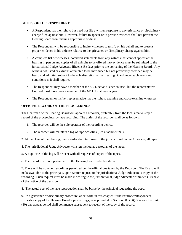#### **DUTIES OF THE RESPONDENT**

- A Respondent has the right to but need not file a written response to any grievance or disciplinary charge filed against him. However, failure to appear or to provide evidence shall not prevent the Hearing Board from making appropriate findings.
- The Respondent will be responsible to invite witnesses to testify on his behalf and to present proper evidence in his defense relative to the grievance or disciplinary charge against him.
- A complete list of witnesses, notarized statements from any witness that cannot appear at the hearing in person and copies of all exhibits to be offered into evidence must be submitted to the jurisdictional Judge Advocate fifteen (15) days prior to the convening of the Hearing Board. Any witness not listed or exhibits attempted to be introduced but not previously provided may be heard and admitted subject to the sole discretion of the Hearing Board under such terms and conditions as it shall require.
- The Respondent may have a member of the MCL act as his/her counsel, but the representative Counsel must have been a member of the MCL for at least a year.
- The Respondent or his/her representative has the right to examine and cross-examine witnesses.

## **OFFICIAL RECORD OF THE PROCEEDINGS**

The Chairman of the Hearing Board will appoint a recorder, preferably from the local area to keep a record of the proceedings by tape recording. The duties of the recorder shall be as follows:

- 1. The recorder will be the sole operator of the recording device.
- 2. The recorder will maintain a log of tape activities (See attachment 91).
- 3. At the close of the Hearing, the recorder shall turn over to the jurisdictional Judge Advocate, all tapes.
- 4. The jurisdictional Judge Advocate will sign the log as custodian of the tapes.
- 5. A duplicate of the log will be sent with all requests of copies of the tapes.
- 6. The recorder will not participate in the Hearing Board"s deliberations.

7. There will be no other recordings permitted but the official one taken by the Recorder. The Board will make available to the principals, upon written request to the jurisdictional Judge Advocate, a copy of the recording. Such request must he made in writing to the jurisdictional judge advocate within ten (10) days of the notice of the decision.

8. The actual cost of the tape reproduction shall be borne by the principal requesting the copy.

9. In a grievance or disciplinary procedure, as set forth in this chapter, if the Petitioner/Respondent requests a copy of the Hearing Board"s proceedings, as is provided in Section 909 (D)(7), above the thirty (30) day appeal period shall commence subsequent to receipt of the copy of the record.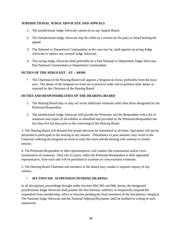## **JURISDICTIONAL JUDGE ADVOCATE AND APPEALS**

- 1. The jurisdictional Judge Advocate cannot sit on any Appeal Board.
- 2. The Jurisdictional Judge Advocate may be called as a witness by the party or board hearing the appeal.
- 3. The National or Department Commandant as the case may be, shall appoint an acting Judge Advocate to replace any recused Judge Advocate.
- 4. This acting Judge Advocate shall preferably be a Past National or Department Judge Advocate, Past National Commandant or Department Commandant.

## **DUTIES OF THE SERGEANT - AT – ARMS**

• The Chairman of the Hearing Board will appoint a Sergeant-at-Arms, preferably from the local area. The duties of the Sergeant-at-Arms are to preserve order and to perform other duties as required by the Chairman of the Hearing Board.

## **DUTIES AND RESPONSIBILITIES OF THE HEARING BOARD**

- 1. The Hearing Board may or may not invite additional witnesses other than those designated by the Petitioner/Respondent.
- 2. The jurisdictional Judge Advocate will provide the Petitioner and the Respondent with a list of witnesses and copies of all exhibits as identified and provided by the Petitioner/Respondent not less than five (5) days prior to the convening of the Hearing Board.

3. The Hearing Board will demand that proper decorum be maintained at all times. Spectators will not be permitted to participate in the hearing in any manner. Disturbance or poor manners may result in the Chairman ordering the Sergeant-at-Arms to clear the room and the hearing will continue in closed session.

4. The Petitioner/Respondent or their representatives will conduct the examination and/or crossexamination of witnesses. Only one (1) party, either the Petitioner/Respondent or their appointed representative, from each side will be permitted to examine or cross-examine witnesses.

5. The Hearing Board Chairman and members of the Board may conduct a separate inquiry of any witness.

#### • **SECTION 910 SUSPENSION PENDING HEARING**

In all disciplinary proceedings brought under Sections 904, 905 and 906, herein, the designated jurisdictional Judge Advocate shall possess the discretionary authority to temporarily suspend the respondent from membership, office or function pending the final resolution of the disciplinary charge(s). The National Judge Advocate and the National Adjutant/Paymaster shall be notified in writing of such suspension.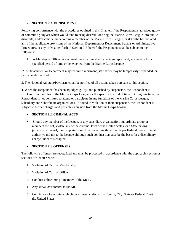### • **SECTION 911 PUNISHMENT**

Following conformance with the procedures outlined in this Chapter, if the Respondent is adjudged guilty of committing any act which would tend to bring discredit or bring the Marine Corps League into public disrepute, and/or conduct unbecoming a member of the Marine Corps League, or if he/she has violated any of the applicable provisions of the National, Department or Detachment Bylaws or Administrative Procedures, or any offense set forth in Section 913 hereof, the Respondent shall be subject to the following:

1. A Member or Officer at any level, may be punished by written reprimand, suspension for a specified period of time or be expelled from the Marine Corps League.

2. A Detachment or Department may receive a reprimand, its charter may be temporarily suspended, or permanently revoked.

3. The National Adjutant/Paymaster shall be notified of all actions taken pursuant to this section.

4. When the Respondent has been adjudged guilty, and punished by suspension, the Respondent is stricken from the roles of the Marine Corps League for the specified period of time. During this time, the Respondent is not permitted to attend or participate in any functions of the Marine Corps League, subsidiary and subordinate organizations. If found in violation of their suspension, the Respondent is subject to further charges and possible expulsion from the Marine Corps League.

## • **SECTION 912 CIMINAL ACTS**

• Should any member of the League, or any subsidiary organization, subordinate group or members thereof, violate any of the criminal laws of the United States, or a State having jurisdiction thereof, the complaint should be made directly to the proper Federal, State or local authority, and not to the League although such conduct may also be the basis for a disciplinary charge under this chapter.

## • **SECTION 913 OFFENSES**

The following offenses are recognized and must be processed in accordance with the applicable section or sections of Chapter Nine:

- 1. Violation of Oath of Membership.
- 2. Violation of Oath of Office.
- 3. Conduct unbecoming a member of the MCL.
- 4. Any action detrimental to the MCL.
- 5. Conviction of any crime which constitutes a felony in a County, City, State or Federal Court in the United States.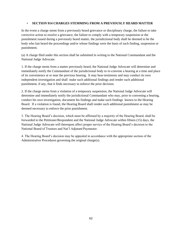#### • **SECTION 914 CHARGES STEMMING FROM A PREVIOUSLY HEARD MATTER**

In the event a charge stems from a previously heard grievance or disciplinary charge, the failure to take corrective action to resolve a grievance, the failure to comply with a temporary suspension or the punishment issued during a previously heard matter, the jurisdictional body shall be deemed to be the body who last heard the proceedings and/or whose findings were the basis of such finding, suspension or punishment.

(a) A charge filed under this section shall be submitted in writing to the National Commandant and the National Judge Advocate.

1. If the charge stems from a matter previously heard, the National Judge Advocate will determine and immediately notify the Commandant of the jurisdictional body to re-convene a hearing at a time and place of its convenience at or near the previous hearing. It may hear-testimony and may conduct its own independent investigation and shall make such additional findings and render such additional punishment, if any, that it finds necessary to enforce the prior decision.

2. If the charge stems from a violation of a temporary suspension, the National Judge Advocate will determine and immediately notify the jurisdictional Commandant who may, prior to convening a hearing, conduct his own investigation, document his findings and make such findings known to the Hearing Board. If a violation is found, the Hearing Board shall render such additional punishment as may be deemed necessary to enforce the prior punishment.

3. The Hearing Board"s decision, which must be affirmed by a majority of the Hearing Board, shall be forwarded to the Petitioner/Respondent and the National Judge Advocate within fifteen (15) days, the National Judge Advocate will thereupon affect proper service of the Hearing Board"s decision to the National Board of Trustees and Nat"l Adjutant/Paymaster.

4. The Hearing Board"s decision may be appealed in accordance with the appropriate section of the Administrative Procedures governing the original charge(s).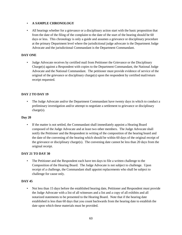### • **A SAMPLE CHRONOLOGY**

• All hearings whether for a grievance or a disciplinary action start with the basic proposition that from the date of the filing of the complaint to the date of the start of the hearing should be 60 days or less. This chronology is only a guide and assumes a grievance or disciplinary procedure at the primary Department level where the jurisdictional judge advocate is the Department Judge Advocate and the jurisdictional Commandant is the Department Commandant.

### **DAY ONE**

• Judge Advocate receives by certified mail from Petitioner the Grievance or the Disciplinary  $\text{Charge}(s)$  against a Respondent with copies to the Department Commandant, the National Judge Advocate and the National Commandant. The petitioner must provide evidence of service of the original of the grievance or disciplinary charge(s) upon the respondent by certified mail/return receipt requested.

### **DAY 2 TO DAY 19**

• The Judge Advocate and/or the Department Commandant have twenty days in which to conduct a preliminary investigation and/or attempt to negotiate a settlement to grievance or disciplinary charge(s).

#### **Day 20**

• If the matter is not settled, the Commandant shall immediately appoint a Hearing Board composed of the Judge Advocate and at least two other members. The Judge Advocate shall notify the Petitioner and the Respondent in writing of the composition of the hearing board and the date of the convening of the hearing which should be within 60 days of the original receipt of the grievance or disciplinary charge(s). The convening date cannot be less than 20 days from the original receipt.

#### **DAY 21 TO DAY 30**

• The Petitioner and the Respondent each have ten days to file a written challenge to the Composition of the Hearing Board. The Judge Advocate is not subject to challenge. Upon receipt of a challenge, the Commandant shall appoint replacements who shall be subject to challenge for cause only.

#### **DAY 45**

• Not less than 15 days before the established hearing date, Petitioner and Respondent must provide the Judge Advocate with a list of all witnesses and a list and a copy of all exhibits and all notarized statements to be presented to the Hearing Board. Note that if the hearing date established is less than 60 days that you count backwards from the hearing date to establish the date upon which these materials must be provided.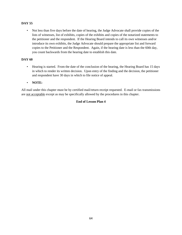### **DAY 55**

• Not less than five days before the date of hearing, the Judge Advocate shall provide copies of the lists of witnesses, list of exhibits, copies of the exhibits and copies of the notarized statements to the petitioner and the respondent. If the Hearing Board intends to call its own witnesses and/or introduce its own exhibits, the Judge Advocate should prepare the appropriate list and forward copies to the Petitioner and the Respondent. Again, if the hearing date is less than the 60th day, you count backwards from the hearing date to establish this date.

## **DAY 60**

- Hearing is started. From the date of the conclusion of the hearing, the Hearing Board has 15 days in which to render its written decision. Upon entry of the finding and the decision, the petitioner and respondent have 30 days in which to file notice of appeal.
- **NOTE:**

All mail under this chapter must be by certified mail/return receipt requested. E-mail or fax transmissions are not acceptable except as may be specifically allowed by the procedures in this chapter.

## **End of Lesson Plan 4**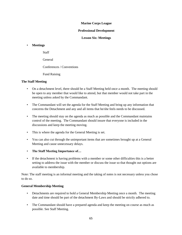### **Marine Corps League**

#### **Professional Development**

**Lesson Six: Meetings**

## • **Meetings**

Staff

General

Conferences / Conventions

Fund Raising

### **The Staff Meeting**

- On a detachment level, there should be a Staff Meeting held once a month. The meeting should be open to any member that would like to attend, but that member would not take part in the meeting unless asked by the Commandant.
- The Commandant will set the agenda for the Staff Meeting and bring up any information that concerns the Detachment and any and all items that he/she feels needs to be discussed.
- The meeting should stay on the agenda as much as possible and the Commandant maintains control of the meeting. The Commandant should insure that everyone is included in the discussions and keep the meeting moving.
- This is where the agenda for the General Meeting is set.
- You can also cut through the unimportant items that are sometimes brought up at a General Meeting and cause unnecessary delays.
- **The Staff Meeting Importance of…**
- If the detachment is having problems with a member or some other difficulties this is a better setting to address the issue with the member or discuss the issue so that thought out options are available to membership.

Note: The staff meeting is an informal meeting and the taking of notes is not necessary unless you chose to do so.

## **General Membership Meeting**

- Detachments are required to hold a General Membership Meeting once a month. The meeting date and time should be part of the detachment By-Laws and should be strictly adhered to.
- The Commandant should have a prepared agenda and keep the meeting on course as much as possible. See Staff Meeting.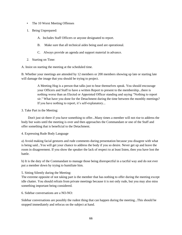- The 10 Worst Meeting Offenses
- 1. Being Unprepared:
	- A. Includes Staff Officers or anyone designated to report.
	- B. Make sure that all technical aides being used are operational.
	- C. Always provide an agenda and support material in advance.
- 2. Starting on Time:

A. Insist on starting the meeting at the scheduled time.

B. Whether your meetings are attended by 12 members or 200 members showing up late or starting late will damage the image that you should be trying to project.

> A Meeting Hog is a person that talks just to hear themselves speak. You should encourage your Officers and Staff to have a written Report to present to the membership...there is nothing worse than an Elected or Appointed Officer standing and saying "Nothing to report sir." What have you done for the Detachment during the time between the monthly meetings? If you have nothing to report, it's self-explanatory...

### 3. Take Part in the Meeting:

 Don't just sit there if you have something to offer...Many times a member will not rise to address the body but waits until the meeting is over and then approaches the Commandant or one of the Staff and offer something that is beneficial to the Detachment.

4. Expressing Rude Body Language

a) Avoid making facial gestures and rude comments during presentation because you disagree with what is being said...You will get your chance to address the body if you so desire. Never get up and leave the room in disagreement. If you show the speaker the lack of respect to at least listen, then you have lost the battle.

b) It is the duty of the Commandant to manage those being disrespectful in a tactful way and do not ever put a member down by trying to humiliate him.

5. Sitting Silently during the Meeting:

The extreme opposite of not taking part is the member that has nothing to offer during the meeting except idle chatter. You should refrain from private meetings because it is not only rude, but you may also miss something important being considered.

6. Sidebar conversations are a NO-NO:

Sidebar conversations are possibly the rudest thing that can happen during the meeting...This should be stopped immediately and refocus on the subject at hand.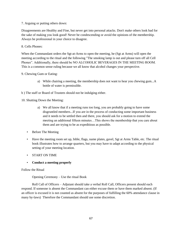7. Arguing or putting others down:

Disagreements are Healthy and Fine, but never get into personal attacks. Don't make others look bad for the sake of making you look good! Never be condescending or avoid the opinions of the membership. Always be professional in your choice to disagree.

8. Cells Phones:

When the Commandant orders the Sgt-at-Arms to open the meeting, he (Sgt at Arms) will open the meeting according to the ritual and the following "The smoking lamp is out and please turn off all Cell Phones". Additionally, there should be NO ALCOHOLIC BEVERAGES IN THE MEETING ROOM. This is a common sense ruling because we all know that alcohol changes your perspective.

### 9. Chewing Gum or Eating:

- a) While chairing a meeting, the membership does not want to hear you chewing gum...A bottle of water is permissible.
- b ) The staff or Board of Trustees should not be indulging either.

10. Shutting Down the Meeting:

- a) We all know that if a meeting runs too long, you are probably going to have some disgruntled members...If you are in the process of conducting some important business and it needs to be settled then and there, you should ask for a motion to extend the meeting an additional fifteen minutes…This shows the membership that you care about them and are trying to be as expeditious as possible.
- Before The Meeting
- Have the meeting room set up, bible, flags, name plates, gavel, Sgt at Arms Table, etc. The ritual book illustrates how to arrange quarters, but you may have to adapt according to the physical setting of your meeting location.
- START ON TIME
- **Conduct a meeting properly**

#### Follow the Ritual

Opening Ceremony – Use the ritual Book

Roll Call of Officers – Adjutant should take a verbal Roll Call, Officers present should each respond. If someone is absent the Commandant can either excuse them or have them marked absent. (If an officer is excused it is not counted as absent for the purposes of fulfilling the 60% attendance clause in many by-laws) Therefore the Commandant should use some discretion.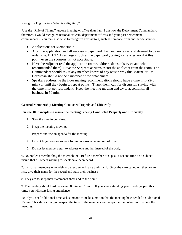### Recognize Dignitaries - What is a dignitary?

Use the "Rule of Thumb" anyone in a higher office than I am. I am now the Detachment Commandant, therefore, I would recognize national officers, department officers and your past detachment commandants. You may also wish to recognize any visitors, such as someone from another detachment.

- Applications for Membership
- After the application and all necessary paperwork has been reviewed and deemed to be in order. (i.e. DD214, Discharge) Look at the paperwork, taking some ones word at this point, even the sponsors, is not acceptable.
- Have the Adjutant read the application (name, address, dates of service and who recommended them). Have the Sergeant at Arms escort the applicant from the room. The Commandant should ask if any member knows of any reason why this Marine or FMF Corpsman should not be a member of the detachment…
- Speakers addressing the floor making recommendations should have a time limit  $(2-3)$ min.) or until they begin to repeat points. Thank them, call for discussion staying with the time limit per respondent. Keep the meeting moving and try to accomplish all business in 50 min.

## **General Membership Meeting** Conducted Properly and Efficiently

### **Use the 10 Principles to insure the meeting is being Conducted Properly and Efficiently**

- 1. Start the meeting on time.
- 2. Keep the meeting moving.
- 3. Prepare and use an agenda for the meeting.
- 4. Do not linger on one subject for an unreasonable amount of time.
- 5. Do not let members start to address one another instead of the body.

6. Do not let a member hog the microphone. Before a member can speak a second time on a subject, insure that all others wishing to speak have been heard.

7. Insist that members who wish to be recognized raise their hand. Once they are called on, they are to rise, give their name for the record and state their business.

8. They are to keep their statements short and to the point.

9. The meeting should last between 50 min and 1 hour. If you start extending your meetings past this time, you will start losing attendance.

10. If you need additional time, ask someone to make a motion that the meeting be extended an additional 15 min. This shows that you respect the time of the members and keeps them involved in finishing the meeting.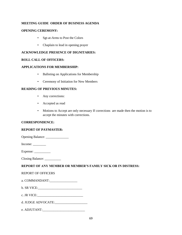### **MEETING GUIDE ORDER OF BUSINESS AGENDA**

#### **OPENING CEREMONY:**

- Sgt-at-Arms to Post the Colors
- Chaplain to lead in opening prayer

### **ACKNOWLEDGE PRESENCE OF DIGNITARIES:**

#### **ROLL CALL OF OFFICERS:**

### **APPLICATIONS FOR MEMBERSHIP:**

- Balloting on Applications for Membership
- Ceremony of Initiation for New Members

### **READING OF PREVIOUS MINUTES:**

- Any corrections:
- Accepted as read
- Motions to Accept are only necessary If corrections are made then the motion is to accept the minutes with corrections.

#### **CORRESPONDENCE:**

#### **REPORT OF PAYMASTER:**

| <b>Opening Balance:</b> |  |
|-------------------------|--|
|-------------------------|--|

Income:

Expense: \_\_\_\_\_\_\_\_\_\_

Closing Balance: \_\_\_\_\_\_\_\_\_\_

## **REPORT OF ANY MEMBER OR MEMBER'S FAMILY SICK OR IN DISTRESS:**

#### REPORT OF OFFICERS

| a. COMMANDANT: |  |
|----------------|--|
|----------------|--|

- b. SR VICE:\_\_\_\_\_\_\_\_\_\_\_\_\_\_\_\_\_\_\_\_\_\_\_\_\_\_\_
- c. JR VICE:\_\_\_\_\_\_\_\_\_\_\_\_\_\_\_\_\_\_\_\_\_\_\_\_\_\_\_\_
- d. JUDGE ADVOCATE:\_\_\_\_\_\_\_\_\_\_\_\_\_\_\_\_\_\_\_\_
- e. ADJUTANT:\_\_\_\_\_\_\_\_\_\_\_\_\_\_\_\_\_\_\_\_\_\_\_\_\_\_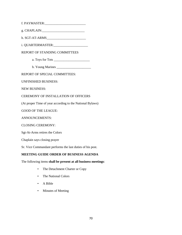f. PAYMASTER:\_\_\_\_\_\_\_\_\_\_\_\_\_\_\_\_\_\_\_\_\_\_\_\_\_

g. CHAPLAIN:\_\_\_\_\_\_\_\_\_\_\_\_\_\_\_\_\_\_\_\_\_\_\_\_\_\_

h. SGT-AT-ARMS\_\_\_\_\_\_\_\_\_\_\_\_\_\_\_\_\_\_\_\_\_\_\_\_

i. QUARTERMASTER:\_\_\_\_\_\_\_\_\_\_\_\_\_\_\_\_\_\_\_\_\_

REPORT OF STANDING COMMITTEES

a. Toys for Tots \_\_\_\_\_\_\_\_\_\_\_\_\_\_\_\_\_\_\_\_\_\_

b. Young Marines \_\_\_\_\_\_\_\_\_\_\_\_\_\_\_\_\_\_\_\_\_

REPORT OF SPECIAL COMMITTEES:

UNFINISHED BUSINESS:

NEW BUSINESS:

CEREMONY OF INSTALLATION OF OFFICERS

(At proper Time of year according to the National Bylaws)

GOOD OF THE LEAGUE:

ANNOUNCEMENTS:

CLOSING CEREMONY:

Sgt-At-Arms retires the Colors

Chaplain says closing prayer

Sr. Vice Commandant performs the last duties of his post.

## **MEETING GUIDE ORDER OF BUSINESS AGENDA**

The following items **shall be present at all business meetings**:

- The Detachment Charter or Copy
- The National Colors
- A Bible
- Minutes of Meeting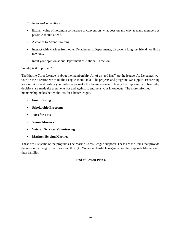### Conferences/Conventions

- Explain value of holding a conference or convention, what goes on and why as many members as possible should attend.
- A chance to Attend Training.
- Interact with Marines from other Detachments, Departments, discover a long lost friend, or find a new one.
- Input your opinion about Department or National Direction.

## So why is it important?

The Marine Corps League is about the membership. All of us "red hats" are the league. As Delegates we vote on the direction we think the League should take. The projects and programs we support. Expressing your opinions and casting your votes helps make the league stronger. Having the opportunity to hear why decisions are made the arguments for and against strengthens your knowledge. The more informed membership makes better choices for a better league.

- **Fund Raising**
- **Scholarship Programs**
- **Toys for Tots**
- **Young Marines**
- **Veteran Services Volunteering**
- **Marines Helping Marines**

These are just some of the programs The Marine Corps League supports. These are the items that provide the reason the League qualifies as a 501 c (4). We are a charitable organization that supports Marines and their families.

## **End of Lesson Plan 6**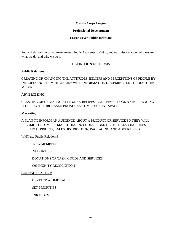#### **Marine Corps League**

#### **Professional Development**

#### **Lesson Seven Public Relations**

Public Relations helps to create greater Public Awareness, Vision, and our mission about who we are, what we do, and why we do it.

### **DEFINITION OF TERMS**

#### **Public Relations:**

CREATING OR CHANGING THE ATTITUDES, BELIEFS AND PERCEPTIONS OF PEOPLE BY INFLUENCING THEM PRIMARILY WITH INFORMATION DISSEMINATED THROUGH THE MEDIA.

### **ADVERTISING:**

CREATING OR CHANGING ATTITUDES, BELIEFS, AND PERCEPTIONS BY INFLUENCING PEOPLE WITHPURCHASED BROADCAST TIME OR PRINT SPACE.

### **Marketing:**

A PLAN TO INFORM AN AUDIENCE ABOUT A PRODUCT OR SERVICE SO THEY WILL BECOME CUSTOMERS. MARKETING INCLUDES PUBLICITY, BUT ALSO INCLUDES RESEARCH, PRICING, SALES,DISTRIBUTION, PACKAGING AND ADVERTISING.

WHY use Public Relations?

NEW MEMBERS

VOLUNTEERS

DONATIONS OF CASH, GOODS AND SERVICES

C0MMUNITY RECOGNITION

## GETTING STARTED**!**

DEVELOP A TIME TABLE

SET PRIORITIES

"NICE TO'S"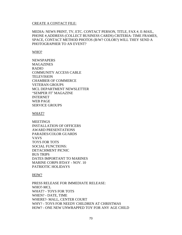#### CREATE A CONTACT FILE:

MEDIA: NEWS PRINT, TV, ETC. CONTACT PERSON, TITLE, FAX #, E-MAIL, PHONE #,ADDRESS (COLLECT BUSINESS CARDS) CRITERIA: TIME FRAMES, SPACE, CONTACT METHOD PHOTOS (B/W? COLOR?) WILL THEY SEND A PHOTOGRAPHER TO AN EVENT?

#### WHO?

**NEWSPAPERS MAGAZINES** RADIO COMMUNITY ACCESS CABLE **TELEVISION** CHAMBER OF COMMERCE VETERAN GROUPS MCL DEPARTMENT NEWSLETTER "SEMPER FI" MAGAZINE INTERNET WEB PAGE SERVICE GROUPS

#### WHAT?

**MEETINGS** INSTALLATION OF OFFICERS AWARD PRESENTATIONS PARADES/COLOR GUARDS VAVS TOYS FOR TOTS SOCIAL FUNCTIONS: DETACHMENT PICNIC BUS TRIPS DATES IMPORTANT TO MARINES MARINE CORPS B'DAY - NOV. 10 PATRIOTIC HOLIDAYS

#### HOW?

PRESS RELEASE FOR IMMEDIATE RELEASE: WHO?-MCL WHAT? - TOYS FOR TOTS WHEN? - DATE, TIME WHERE?- MALL, CENTER COURT WHY? - TOYS FOR NEEDY CHILDREN AT CHRISTMAS HOW? - ONE NEW UNWRAPPED TOY FOR ANY AGE CHILD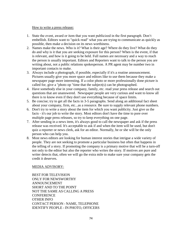## How to write a press release**:**

- 1. State the event, award or item that you want publicized in the first paragraph. Don"t embellish. Editors want to "quick read" what you are trying to communicate as quickly as possible, then make a decision on its news worthiness.
- 2. Names make the news. Who is it? What is their age? Where do they live? What do they do and why is it that you are seeking exposure for this person? When is the event, if that is relevant, and how is it going to be held. Full names are necessary and a way to reach the person is usually important. Editors and Reporters want to talk to the person you are writing about, not a public relations spokesperson. A PR agent may be number two in important contacts to make.
- 3. Always include a photograph, if possible, especially if it's a routine announcement. Pictures usually give you more space and editors like to use them because they make a newspaper page more interesting. If a color photo or more professionally done picture is called for, give a "photo op "time that the subject(s) can be photographed.
- 4. Have somebody else in your company, family, etc. read your press release and search out questions that are unanswered. Newspaper people are very curious and want to know all there is to know even if they don't use everything because of space limits.
- 5. Be concise; try to get all the facts in 3-5 paragraphs. Send along an additional fact sheet about your company, firm, etc...as a resource. Be sure to supply relevant phone numbers.
- 6. Don't try to write a story about the item for which you want publicity. Just give us the facts - it's our job to write the story. Most editors don't have the time to pore over multiple page press releases, so try to keep everything on one page.
- 7. After sending in a news item, it's always good to call the newspaper and ask if the press release was received. It's acceptable to ask if and when the item will be used, but don't quiz a reporter or news clerk, ask for an editor. Normally, he or she will be the only person who can help you.
- 8. Most news editors are looking for human interest stories that intrigue a wide variety of people. They are not seeking to promote a particular business but often that happens in the telling of a story. If promoting the company is a primary motive that will be a turn-off not only to the editor but also the reporter who writes the story. If motives are pure and writer detects that, often we will go the extra mile to make sure your company gets the credit it deserves.

## MEDIA ADVISORY:

BEST FOR TELEVISION ONLY FOR NEWSWORTHY ANNOUNCEMENT SHORT AND TO THE POINT NOT THE SAME AS CALLING A PRESS **CONFERENCE** OTHER INFO CONTACT PERSON - NAME, TELEPHONE IDENTIFY PEOPLE - IN PHOTO, OFFICERS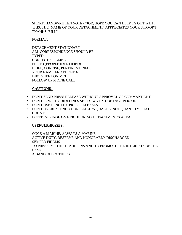## SHORT, HANDWRITTEN NOTE - "JOE, HOPE YOU CAN HELP US OUT WITH THIS. THE (NAME OF YOUR DETACHMENT) APPRECIATES YOUR SUPPORT. THANKS. BILL"

## FORMAT:

DETACHMENT STATIONARY ALL CORRESPONDENCE SHOULD BE TYPED! CORRECT SPELLING PHOTO (PEOPLE IDENTIFIED) BRIEF, CONCISE, PERTINENT INFO , YOUR NAME AND PHONE # INFO SHEET ON MCL FOLLOW UP PHONE CALL

# **CAUTION!!!**

- DON'T SEND PRESS RELEASE WITHOUT APPROVAL OF COMMANDANT
- DON'T IGNORE GUIDELINES SET DOWN BY CONTACT PERSON
- DON'T USE LENGTHY PRESS RELEASES
- DON'T OVEREXTEND YOURSELF -IT'S QUALITY NOT QUANTITY THAT COUNTS
- DON'T INFRINGE ON NEIGHBORING DETACHMENT'S AREA

# **USEFULPHRASES:**

ONCE A MARINE, ALWAYS A MARINE ACTIVE DUTY, RESERVE AND HONORABLY DISCHARGED SEMPER FIDELIS TO PRESERVE THE TRADITI0NS AND TO PROMOTE THE INTERESTS OF THE USMC A BAND Of BROTHERS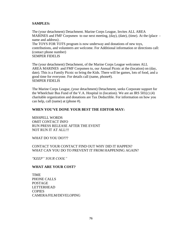## **SAMPLES:**

The (your detachment) Detachment. Marine Corps League, Invites ALL AREA MARINES and FMF Corpsmen to our next meeting, (day), (date), (time). At the (place name and address) . The TOYS FOR TOTS program is now underway and donations of new toys, contributions, and volunteers are welcome. For Additional information or directions call: (contact phone number) SEMPER FIDELIS

The (your detachment) Detachment, of the Marine Corps League welcomes ALL AREA MARINES and FMF Corpsmen to, our Annual Picnic at the (location) on (day, date). This is a Family Picnic so bring the Kids. There will be games, lots of food, and a good time for everyone. For details call (name, phone#). SEMPER FIDELIS

The Marine Corps League, (your detachment) Detachment, seeks Corporate support for the Wheelchair Bus Fund of the V.A. Hospital in (location). We are an IRS  $501(c)$  (4) charitable organization and donations are Tax Deductible. For information on how you can help, call (name) at (phone #).

## **WHEN YOU'VE DONE YOUR BEST THE EDITOR MAY:**

MISSPELL WORDS OMIT CONTACT INFO RUN PRESS RELEASE AFTER THE EVENT NOT RUN IT AT ALL!!!

WHAT DO YOU DO???

CONTACT YOUR CONTACT FIND OUT WHY DID IT HAPPEN? WHAT CAN YOU DO TO PREVENT IT FROM HAPPENING AGAIN?

*"KEEP" YOUR COOL"*

## **WHAT ARE YOUR COST?**

TIME PHONE CALLS POSTAGE LETTERHEAD **COPIES** CAMERA/FILM/DEVELOPING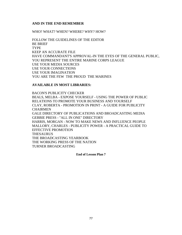## **AND IN THE END REMEMBER**

WHO? WHAT? WHEN? WHERE? WHY? HOW?

FOLLOW THE GUIDELINES OF THE EDITOR BE BRIEF **TYPE** KEEP AN ACCURATE FILE HAVE COMMANDANT'S APPROVAL-IN THE EYES OF THE GENERAL PUBLIC, YOU REPRESENT THE ENTIRE MARINE CORPS LEAGUE USE YOUR MEDIA SOURCES USE YOUR CONNECTIONS USE YOUR IMAGINATION YOU ARE THE FEW THE PROUD THE MARINES

### **AVAILABLE IN MOST LIBRARIES:**

BACON'S PUBLICITY CHECKER BEALS, MELBA - EXPOSE YOURSELF - USING THE POWER OF PUBLIC RELATIONS TO PROMOTE YOUR BUSINESS AND YOURSELF CLAY, ROBERTA - PROMOTION IN PRINT - A GUIDE FOR PUBLICITY **CHAIRMEN** GALE DIRECTORY OF PUBLICATIONS AND BROADCASTING MEDIA GEBBIE PRESS - "ALL IN ONE" DIRECTORY HARRIS, MORGAN - NOW TO MAKE NEWS AND INFLUENCE PEOPLE MALLORY, CHARLES - PUBLICITY POWER - A PRACTICAL GUIDE TO EFFECTIVE PROMOTION **THESAURUS** THE BROADCASTING YEARBOOK THE WORKING PRESS OF THE NATION TURNER BROADCASTING

**End of Lesson Plan 7**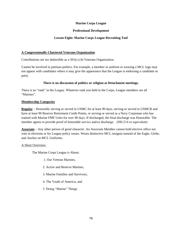## **Marine Corps League**

## **Professional Development**

## **Lesson Eight: Marine Corps League Recruiting Tool**

### **A Congressionally Chartered Veterans Organization**

Contributions are tax deductible as a 501(c) (4) Veterans Organization.

Cannot be involved in partisan politics. For example, a member in uniform or wearing a MCL logo may not appear with candidates where it may give the appearance that the League is endorsing a candidate or party.

## **There is no discussion of politics or religion at Detachment meetings.**

There is no "rank" in the League. Whatever rank you held in the Corps, League members are all "Marines".

### **Membership Categories**

**Regular –** Honorably serving or served in USMC for at least 90 days, serving or served in USMCR and have at least 90 Reserve Retirement Credit Points, or serving or served as a Navy Corpsman who has trained with Marine FMF Units for over 90 days. If discharged, the final discharge was Honorable. The member agrees to provide proof of honorable service and/or discharge. (DD-214 or equivalent)

**Associate –** Any other person of good character. An Associate Member cannot hold elective office nor vote in elections or for League policy issues. Wears distinctive MCL insignia instead of the Eagle, Globe, and Anchor on MCL Uniforms.

### A Short Overview:

The Marine Corps League is About:

- 1. Our Veteran Marines,
- 2. Active and Reserve Marines,
- 3. Marine Families and Survivors,
- 4. The Youth of America, and
- 5. Doing "Marine" Things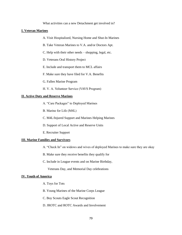What activities can a new Detachment get involved in?

#### **I. Veteran Marines**

- A. Visit Hospitalized, Nursing Home and Shut-In Marines
- B. Take Veteran Marines to V.A. and/or Doctors Apt.
- C. Help with their other needs shopping, legal, etc.
- D. Veterans Oral History Project
- E. Include and transport them to MCL affairs
- F. Make sure they have filed for V.A. Benefits
- G. Fallen Marine Program
- H. V. A. Volunteer Service (VAVS Program)

### **II. Active Duty and Reserve Marines**

- A. "Care Packages" to Deployed Marines
- B. Marine for Life (M4L)
- C. M4L/Injured Support and Marines Helping Marines
- D. Support of Local Active and Reserve Units
- E. Recruiter Support

#### **III. Marine Families and Survivors**

- A. "Check In" on widows and wives of deployed Marines to make sure they are okay
- B. Make sure they receive benefits they qualify for
- C. Include in League events and on Marine Birthday,
	- Veterans Day, and Memorial Day celebrations

#### **IV. Youth of America**

- A. Toys for Tots
- B. Young Marines of the Marine Corps League
- C. Boy Scouts Eagle Scout Recognition
- D. JROTC and ROTC Awards and Involvement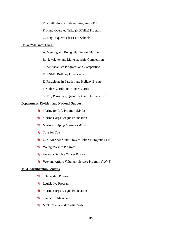- E. Youth Physical Fitness Program (YPF)
- F. Hand-Operated Trike (HOTrike) Program
- G. Flag Etiquette Classes to Schools

#### Doing "**Marine**" Things

- A. Meeting and Being with Fellow Marines
- B. Newsletter and Marksmanship Competition
- C. Americanism Programs and Competition
- D. USMC Birthday Observance
- E. Participate in Parades and Holiday Events
- F. Color Guards and Honor Guards
- G. P.I., Pensacola, Quantico, Camp LeJeune, etc.

#### **Department, Division and National Support**

- $\star$  Marine for Life Program (M4L)
- $\star$  Marine Corps League Foundation
- $\star$  Marines Helping Marines (MHM)
- **★** Toys for Tots
- ★ U. S. Marines Youth Physical Fitness Program (YPF)
- **★** Young Marines Program
- **★** Veterans Service Officer Program
- \* Veterans Affairs Voluntary Service Program (VAVS)

#### **MCL Membership Benefits**

- \* Scholarship Program
- **\*** Legislative Program
- $\star$  Marine Corps League Foundation
- $\star$  Semper Fi Magazine
- **\*** MCL Checks and Credit Cards